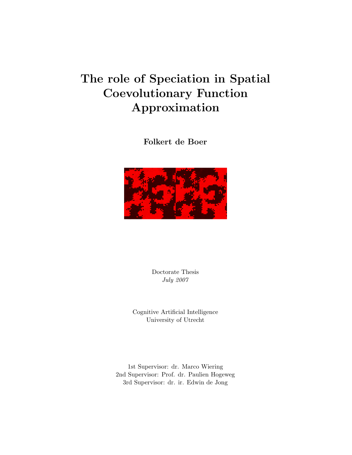# The role of Speciation in Spatial Coevolutionary Function Approximation

Folkert de Boer



Doctorate Thesis July 2007

Cognitive Artificial Intelligence University of Utrecht

1st Supervisor: dr. Marco Wiering 2nd Supervisor: Prof. dr. Paulien Hogeweg 3rd Supervisor: dr. ir. Edwin de Jong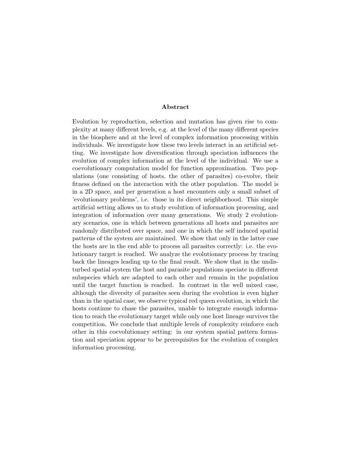#### Abstract

Evolution by reproduction, selection and mutation has given rise to complexity at many different levels, e.g. at the level of the many different species in the biosphere and at the level of complex information processing within individuals. We investigate how these two levels interact in an artificial setting. We investigate how diversification through speciation influences the evolution of complex information at the level of the individual. We use a coevolutionary computation model for function approximation. Two populations (one consisting of hosts, the other of parasites) co-evolve, their fitness defined on the interaction with the other population. The model is in a 2D space, and per generation a host encounters only a small subset of 'evolutionary problems', i.e. those in its direct neighborhood. This simple artificial setting allows us to study evolution of information processing, and integration of information over many generations. We study 2 evolutionary scenarios, one in which between generations all hosts and parasites are randomly distributed over space, and one in which the self induced spatial patterns of the system are maintained. We show that only in the latter case the hosts are in the end able to process all parasites correctly: i.e. the evolutionary target is reached. We analyze the evolutionary process by tracing back the lineages leading up to the final result. We show that in the undisturbed spatial system the host and parasite populations speciate in different subspecies which are adapted to each other and remain in the population until the target function is reached. In contrast in the well mixed case, although the diversity of parasites seen during the evolution is even higher than in the spatial case, we observe typical red queen evolution, in which the hosts continue to chase the parasites, unable to integrate enough information to reach the evolutionary target while only one host lineage survives the competition. We conclude that multiple levels of complexity reinforce each other in this coevolutionary setting: in our system spatial pattern formation and speciation appear to be prerequisites for the evolution of complex information processing.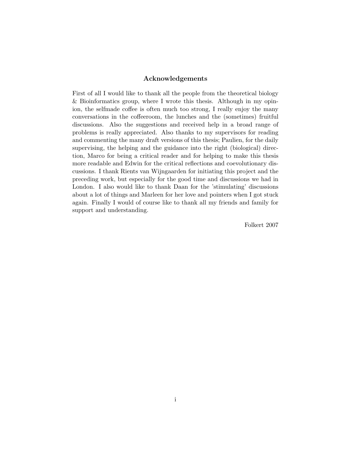#### Acknowledgements

First of all I would like to thank all the people from the theoretical biology & Bioinformatics group, where I wrote this thesis. Although in my opinion, the selfmade coffee is often much too strong, I really enjoy the many conversations in the coffeeroom, the lunches and the (sometimes) fruitful discussions. Also the suggestions and received help in a broad range of problems is really appreciated. Also thanks to my supervisors for reading and commenting the many draft versions of this thesis; Paulien, for the daily supervising, the helping and the guidance into the right (biological) direction, Marco for being a critical reader and for helping to make this thesis more readable and Edwin for the critical reflections and coevolutionary discussions. I thank Rients van Wijngaarden for initiating this project and the preceding work, but especially for the good time and discussions we had in London. I also would like to thank Daan for the 'stimulating' discussions about a lot of things and Marleen for her love and pointers when I got stuck again. Finally I would of course like to thank all my friends and family for support and understanding.

Folkert 2007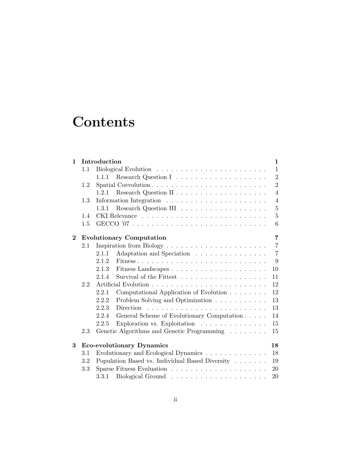# **Contents**

| $\mathbf{1}$ |     | Introduction                                                        | $\mathbf 1$    |
|--------------|-----|---------------------------------------------------------------------|----------------|
|              | 1.1 |                                                                     | $\mathbf{1}$   |
|              |     | 1.1.1                                                               | $\overline{2}$ |
|              | 1.2 |                                                                     | $\overline{2}$ |
|              |     | 1.2.1                                                               | $\overline{4}$ |
|              | 1.3 |                                                                     | $\overline{4}$ |
|              |     | 1.3.1                                                               | $\overline{5}$ |
|              | 1.4 |                                                                     | $\overline{5}$ |
|              | 1.5 |                                                                     | 6              |
| $\bf{2}$     |     | <b>Evolutionary Computation</b>                                     | 7              |
|              | 2.1 |                                                                     | $\overline{7}$ |
|              |     | Adaptation and Speciation<br>2.1.1                                  | $\overline{7}$ |
|              |     | 2.1.2                                                               | 9              |
|              |     | 2.1.3                                                               | 10             |
|              |     | Survival of the Fittest<br>2.1.4                                    | 11             |
|              | 2.2 |                                                                     | 12             |
|              |     | 2.2.1<br>Computational Application of Evolution                     | 12             |
|              |     | Problem Solving and Optimization<br>2.2.2                           | 13             |
|              |     | 2.2.3                                                               | 13             |
|              |     | 2.2.4<br>General Scheme of Evolutionary Computation                 | 14             |
|              |     | Exploration vs. Exploitation $\ldots \ldots \ldots \ldots$<br>2.2.5 | 15             |
|              | 2.3 | Genetic Algorithms and Genetic Programming                          | 15             |
| 3            |     | <b>Eco-evolutionary Dynamics</b>                                    | 18             |
|              | 3.1 | Evolutionary and Ecological Dynamics                                | 18             |
|              | 3.2 | Population Based vs. Individual Based Diversity                     | 19             |
|              | 3.3 |                                                                     | 20             |
|              |     | 3.3.1                                                               | 20             |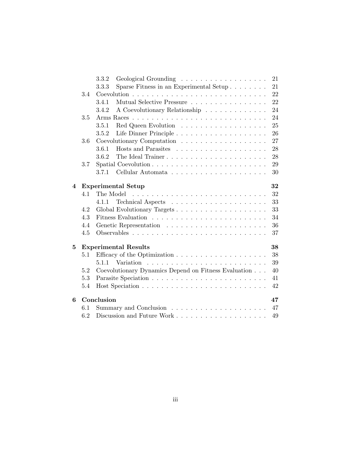|   |     | 3.3.2<br>Geological Grounding                        | 21 |
|---|-----|------------------------------------------------------|----|
|   |     | Sparse Fitness in an Experimental Setup<br>3.3.3     | 21 |
|   | 3.4 |                                                      | 22 |
|   |     | Mutual Selective Pressure<br>3.4.1                   | 22 |
|   |     | A Coevolutionary Relationship<br>3.4.2               | 24 |
|   | 3.5 |                                                      | 24 |
|   |     | 3.5.1<br>Red Queen Evolution                         | 25 |
|   |     | 3.5.2                                                | 26 |
|   | 3.6 | Coevolutionary Computation                           | 27 |
|   |     | 3.6.1                                                | 28 |
|   |     | 3.6.2<br>The Ideal Trainer                           | 28 |
|   | 3.7 | Spatial Coevolution                                  | 29 |
|   |     | 3.7.1                                                | 30 |
| 4 |     | <b>Experimental Setup</b>                            | 32 |
|   | 4.1 | The Model                                            | 32 |
|   |     | 4.1.1                                                | 33 |
|   | 4.2 |                                                      | 33 |
|   | 4.3 |                                                      | 34 |
|   | 4.4 |                                                      | 36 |
|   | 4.5 |                                                      | 37 |
| 5 |     | <b>Experimental Results</b>                          | 38 |
|   | 5.1 |                                                      | 38 |
|   |     | 5.1.1                                                | 39 |
|   | 5.2 | Coevolutionary Dynamics Depend on Fitness Evaluation | 40 |
|   | 5.3 |                                                      | 41 |
|   | 5.4 |                                                      | 42 |
| 6 |     | Conclusion                                           | 47 |
|   | 6.1 |                                                      | 47 |
|   | 6.2 |                                                      | 49 |
|   |     |                                                      |    |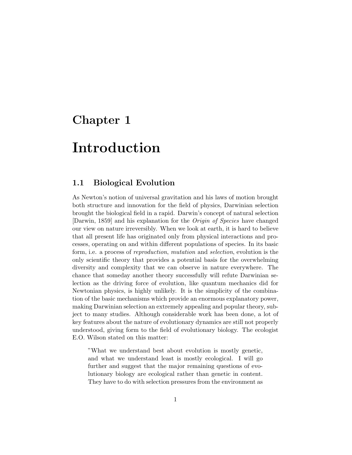## Chapter 1

# Introduction

## 1.1 Biological Evolution

As Newton's notion of universal gravitation and his laws of motion brought both structure and innovation for the field of physics, Darwinian selection brought the biological field in a rapid. Darwin's concept of natural selection [Darwin, 1859] and his explanation for the Origin of Species have changed our view on nature irreversibly. When we look at earth, it is hard to believe that all present life has originated only from physical interactions and processes, operating on and within different populations of species. In its basic form, i.e. a process of reproduction, mutation and selection, evolution is the only scientific theory that provides a potential basis for the overwhelming diversity and complexity that we can observe in nature everywhere. The chance that someday another theory successfully will refute Darwinian selection as the driving force of evolution, like quantum mechanics did for Newtonian physics, is highly unlikely. It is the simplicity of the combination of the basic mechanisms which provide an enormous explanatory power, making Darwinian selection an extremely appealing and popular theory, subject to many studies. Although considerable work has been done, a lot of key features about the nature of evolutionary dynamics are still not properly understood, giving form to the field of evolutionary biology. The ecologist E.O. Wilson stated on this matter:

"What we understand best about evolution is mostly genetic, and what we understand least is mostly ecological. I will go further and suggest that the major remaining questions of evolutionary biology are ecological rather than genetic in content. They have to do with selection pressures from the environment as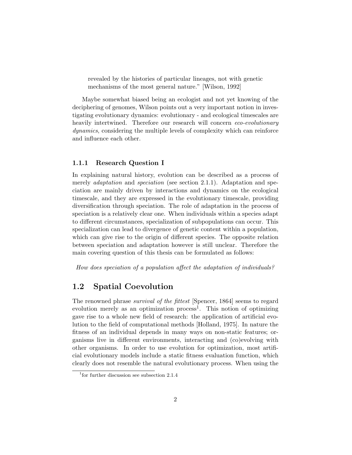revealed by the histories of particular lineages, not with genetic mechanisms of the most general nature." [Wilson, 1992]

Maybe somewhat biased being an ecologist and not yet knowing of the deciphering of genomes, Wilson points out a very important notion in investigating evolutionary dynamics: evolutionary - and ecological timescales are heavily intertwined. Therefore our research will concern eco-evolutionary dynamics, considering the multiple levels of complexity which can reinforce and influence each other.

#### 1.1.1 Research Question I

In explaining natural history, evolution can be described as a process of merely *adaptation* and *speciation* (see section 2.1.1). Adaptation and speciation are mainly driven by interactions and dynamics on the ecological timescale, and they are expressed in the evolutionary timescale, providing diversification through speciation. The role of adaptation in the process of speciation is a relatively clear one. When individuals within a species adapt to different circumstances, specialization of subpopulations can occur. This specialization can lead to divergence of genetic content within a population, which can give rise to the origin of different species. The opposite relation between speciation and adaptation however is still unclear. Therefore the main covering question of this thesis can be formulated as follows:

How does speciation of a population affect the adaptation of individuals?

### 1.2 Spatial Coevolution

The renowned phrase *survival of the fittest* [Spencer, 1864] seems to regard evolution merely as an optimization process<sup>1</sup>. This notion of optimizing gave rise to a whole new field of research: the application of artificial evolution to the field of computational methods [Holland, 1975]. In nature the fitness of an individual depends in many ways on non-static features; organisms live in different environments, interacting and (co)evolving with other organisms. In order to use evolution for optimization, most artificial evolutionary models include a static fitness evaluation function, which clearly does not resemble the natural evolutionary process. When using the

<sup>&</sup>lt;sup>1</sup>for further discussion see subsection 2.1.4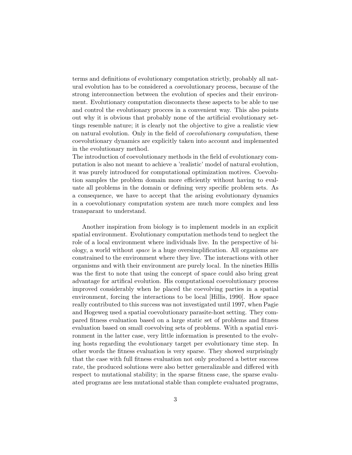terms and definitions of evolutionary computation strictly, probably all natural evolution has to be considered a coevolutionary process, because of the strong interconnection between the evolution of species and their environment. Evolutionary computation disconnects these aspects to be able to use and control the evolutionary procces in a convenient way. This also points out why it is obvious that probably none of the artificial evolutionary settings resemble nature; it is clearly not the objective to give a realistic view on natural evolution. Only in the field of coevolutionary computation, these coevolutionary dynamics are explicitly taken into account and implemented in the evolutionary method.

The introduction of coevolutionary methods in the field of evolutionary computation is also not meant to achieve a 'realistic' model of natural evolution, it was purely introduced for computational optimization motives. Coevolution samples the problem domain more efficiently without having to evaluate all problems in the domain or defining very specific problem sets. As a consequence, we have to accept that the arising evolutionary dynamics in a coevolutionary computation system are much more complex and less transparant to understand.

Another inspiration from biology is to implement models in an explicit spatial environment. Evolutionary computation methods tend to neglect the role of a local environment where individuals live. In the perspective of biology, a world without space is a huge oversimplification. All organisms are constrained to the environment where they live. The interactions with other organisms and with their environment are purely local. In the nineties Hillis was the first to note that using the concept of space could also bring great advantage for artifical evolution. His computational coevolutionary process improved considerably when he placed the coevolving parties in a spatial environment, forcing the interactions to be local [Hillis, 1990]. How space really contributed to this success was not investigated until 1997, when Pagie and Hogeweg used a spatial coevolutionary parasite-host setting. They compared fitness evaluation based on a large static set of problems and fitness evaluation based on small coevolving sets of problems. With a spatial environment in the latter case, very little information is presented to the evolving hosts regarding the evolutionary target per evolutionary time step. In other words the fitness evaluation is very sparse. They showed surprisingly that the case with full fitness evaluation not only produced a better success rate, the produced solutions were also better generalizable and differed with respect to mutational stability; in the sparse fitness case, the sparse evaluated programs are less mutational stable than complete evaluated programs,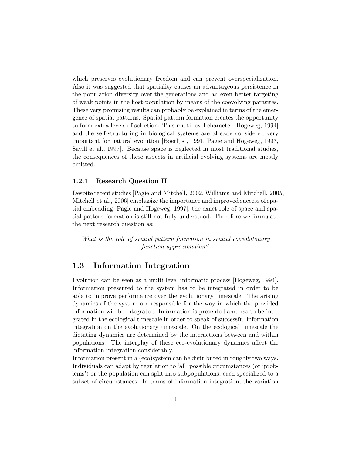which preserves evolutionary freedom and can prevent overspecialization. Also it was suggested that spatiality causes an advantageous persistence in the population diversity over the generations and an even better targeting of weak points in the host-population by means of the coevolving parasites. These very promising results can probably be explained in terms of the emergence of spatial patterns. Spatial pattern formation creates the opportunity to form extra levels of selection. This multi-level character [Hogeweg, 1994] and the self-structuring in biological systems are already considered very important for natural evolution [Boerlijst, 1991, Pagie and Hogeweg, 1997, Savill et al., 1997]. Because space is neglected in most traditional studies, the consequences of these aspects in artificial evolving systems are mostly omitted.

#### 1.2.1 Research Question II

Despite recent studies [Pagie and Mitchell, 2002, Williams and Mitchell, 2005, Mitchell et al., 2006] emphasize the importance and improved success of spatial embedding [Pagie and Hogeweg, 1997], the exact role of space and spatial pattern formation is still not fully understood. Therefore we formulate the next research question as:

What is the role of spatial pattern formation in spatial coevolutonary function approximation?

### 1.3 Information Integration

Evolution can be seen as a multi-level informatic process [Hogeweg, 1994]. Information presented to the system has to be integrated in order to be able to improve performance over the evolutionary timescale. The arising dynamics of the system are responsible for the way in which the provided information will be integrated. Information is presented and has to be integrated in the ecological timescale in order to speak of successful information integration on the evolutionary timescale. On the ecological timescale the dictating dynamics are determined by the interactions between and within populations. The interplay of these eco-evolutionary dynamics affect the information integration considerably.

Information present in a (eco)system can be distributed in roughly two ways. Individuals can adapt by regulation to 'all' possible circumstances (or 'problems') or the population can split into subpopulations, each specialized to a subset of circumstances. In terms of information integration, the variation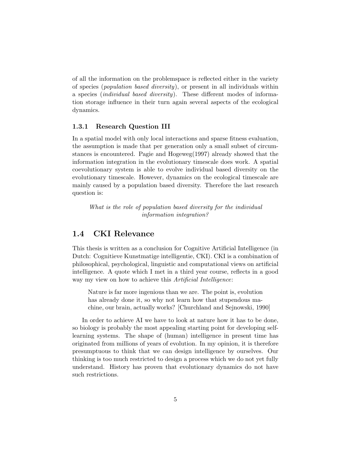of all the information on the problemspace is reflected either in the variety of species (population based diversity), or present in all individuals within a species (individual based diversity). These different modes of information storage influence in their turn again several aspects of the ecological dynamics.

#### 1.3.1 Research Question III

In a spatial model with only local interactions and sparse fitness evaluation, the assumption is made that per generation only a small subset of circumstances is encountered. Pagie and Hogeweg(1997) already showed that the information integration in the evolutionary timescale does work. A spatial coevolutionary system is able to evolve individual based diversity on the evolutionary timescale. However, dynamics on the ecological timescale are mainly caused by a population based diversity. Therefore the last research question is:

What is the role of population based diversity for the individual information integration?

## 1.4 CKI Relevance

This thesis is written as a conclusion for Cognitive Artificial Intelligence (in Dutch: Cognitieve Kunstmatige intelligentie, CKI). CKI is a combination of philosophical, psychological, linguistic and computational views on artificial intelligence. A quote which I met in a third year course, reflects in a good way my view on how to achieve this *Artificial Intelligence*:

Nature is far more ingenious than we are. The point is, evolution has already done it, so why not learn how that stupendous machine, our brain, actually works? [Churchland and Sejnowski, 1990]

In order to achieve AI we have to look at nature how it has to be done, so biology is probably the most appealing starting point for developing selflearning systems. The shape of (human) intelligence in present time has originated from millions of years of evolution. In my opinion, it is therefore presumptuous to think that we can design intelligence by ourselves. Our thinking is too much restricted to design a process which we do not yet fully understand. History has proven that evolutionary dynamics do not have such restrictions.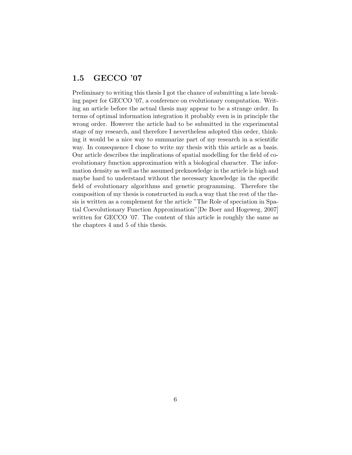## 1.5 GECCO '07

Preliminary to writing this thesis I got the chance of submitting a late breaking paper for GECCO '07, a conference on evolutionary computation. Writing an article before the actual thesis may appear to be a strange order. In terms of optimal information integration it probably even is in principle the wrong order. However the article had to be submitted in the experimental stage of my research, and therefore I nevertheless adopted this order, thinking it would be a nice way to summarize part of my research in a scientific way. In consequence I chose to write my thesis with this article as a basis. Our article describes the implications of spatial modelling for the field of coevolutionary function approximation with a biological character. The information density as well as the assumed preknowledge in the article is high and maybe hard to understand without the necessary knowledge in the specific field of evolutionary algorithms and genetic programming. Therefore the composition of my thesis is constructed in such a way that the rest of the thesis is written as a complement for the article "The Role of speciation in Spatial Coevolutionary Function Approximation"[De Boer and Hogeweg, 2007] written for GECCO '07. The content of this article is roughly the same as the chapters 4 and 5 of this thesis.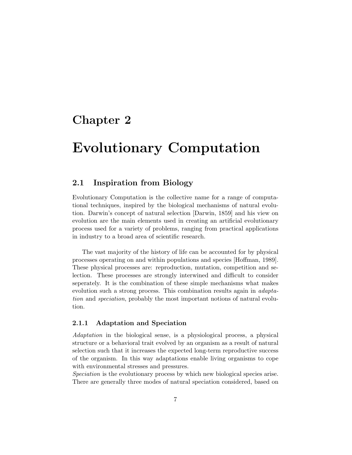## Chapter 2

# Evolutionary Computation

## 2.1 Inspiration from Biology

Evolutionary Computation is the collective name for a range of computational techniques, inspired by the biological mechanisms of natural evolution. Darwin's concept of natural selection [Darwin, 1859] and his view on evolution are the main elements used in creating an artificial evolutionary process used for a variety of problems, ranging from practical applications in industry to a broad area of scientific research.

The vast majority of the history of life can be accounted for by physical processes operating on and within populations and species [Hoffman, 1989]. These physical processes are: reproduction, mutation, competition and selection. These processes are strongly interwined and difficult to consider seperately. It is the combination of these simple mechanisms what makes evolution such a strong process. This combination results again in *adapta*tion and speciation, probably the most important notions of natural evolution.

#### 2.1.1 Adaptation and Speciation

Adaptation in the biological sense, is a physiological process, a physical structure or a behavioral trait evolved by an organism as a result of natural selection such that it increases the expected long-term reproductive success of the organism. In this way adaptations enable living organisms to cope with environmental stresses and pressures.

Speciation is the evolutionary process by which new biological species arise. There are generally three modes of natural speciation considered, based on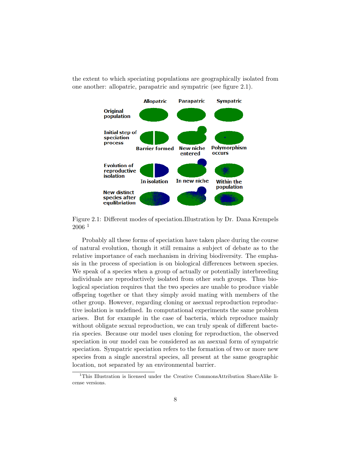the extent to which speciating populations are geographically isolated from one another: allopatric, parapatric and sympatric (see figure 2.1).



Figure 2.1: Different modes of speciation.Illustration by Dr. Dana Krempels  $2006^{-1}$ 

Probably all these forms of speciation have taken place during the course of natural evolution, though it still remains a subject of debate as to the relative importance of each mechanism in driving biodiversity. The emphasis in the process of speciation is on biological differences between species. We speak of a species when a group of actually or potentially interbreeding individuals are reproductively isolated from other such groups. Thus biological speciation requires that the two species are unable to produce viable offspring together or that they simply avoid mating with members of the other group. However, regarding cloning or asexual reproduction reproductive isolation is undefined. In computational experiments the same problem arises. But for example in the case of bacteria, which reproduce mainly without obligate sexual reproduction, we can truly speak of different bacteria species. Because our model uses cloning for reproduction, the observed speciation in our model can be considered as an asexual form of sympatric speciation. Sympatric speciation refers to the formation of two or more new species from a single ancestral species, all present at the same geographic location, not separated by an environmental barrier.

<sup>1</sup>This Illustration is licensed under the Creative CommonsAttribution ShareAlike license versions.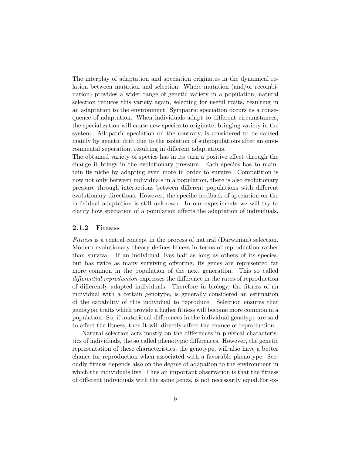The interplay of adaptation and speciation originates in the dynamical relation between mutation and selection. Where mutation (and/or recombination) provides a wider range of genetic variety in a population, natural selection reduces this variety again, selecting for useful traits, resulting in an adaptation to the environment. Sympatric speciation occurs as a consequence of adaptation. When individuals adapt to different circumstances, the specialization will cause new species to originate, bringing variety in the system. Allopatric speciation on the contrary, is considered to be caused mainly by genetic drift due to the isolation of subpopulations after an environmental seperation, resulting in different adaptations.

The obtained variety of species has in its turn a positive effect through the change it brings in the evolutionary pressure. Each species has to maintain its niche by adapting even more in order to survive. Competition is now not only between individuals in a population, there is also evolutionary pressure through interactions between different populations with different evolutionary directions. However, the specific feedback of speciation on the individual adaptation is still unknown. In our experiments we will try to clarify how speciation of a population affects the adaptation of individuals.

#### 2.1.2 Fitness

Fitness is a central concept in the process of natural (Darwinian) selection. Modern evolutionary theory defines fitness in terms of reproduction rather than survival. If an individual lives half as long as others of its species, but has twice as many surviving offspring, its genes are represented far more common in the population of the next generation. This so called differential reproduction expresses the difference in the rates of reproduction of differently adapted individuals. Therefore in biology, the fitness of an individual with a certain genotype, is generally considered an estimation of the capability of this individual to reproduce. Selection ensures that genotypic traits which provide a higher fitness will become more common in a population. So, if mutational differences in the individual genotype are said to affect the fitness, then it will directly affect the chance of reproduction.

Natural selection acts mostly on the differences in physical characteristics of individuals, the so called phenotypic differences. However, the genetic representation of these characteristics, the genotype, will also have a better chance for reproduction when associated with a favorable phenotype. Secondly fitness depends also on the degree of adapation to the environment in which the individuals live. Thus an important observation is that the fitness of different individuals with the same genes, is not necessarily equal.For ex-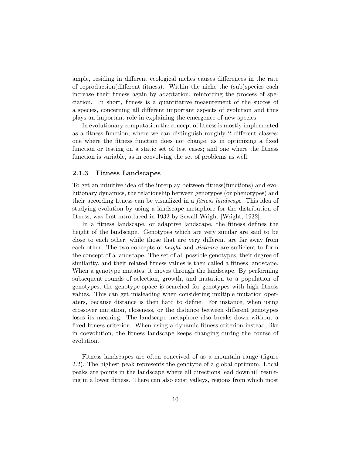ample, residing in different ecological niches causes differences in the rate of reproduction(different fitness). Within the niche the (sub)species each increase their fitness again by adaptation, reinforcing the process of speciation. In short, fitness is a quantitative measurement of the succes of a species, concerning all different important aspects of evolution and thus plays an important role in explaining the emergence of new species.

In evolutionary computation the concept of fitness is mostly implemented as a fitness function, where we can distinguish roughly 2 different classes: one where the fitness function does not change, as in optimizing a fixed function or testing on a static set of test cases; and one where the fitness function is variable, as in coevolving the set of problems as well.

#### 2.1.3 Fitness Landscapes

To get an intuitive idea of the interplay between fitness(functions) and evolutionary dynamics, the relationship between genotypes (or phenotypes) and their according fitness can be visualized in a fitness landscape. This idea of studying evolution by using a landscape metaphore for the distribution of fitness, was first introduced in 1932 by Sewall Wright [Wright, 1932].

In a fitness landscape, or adaptive landscape, the fitness defines the height of the landscape. Genotypes which are very similar are said to be close to each other, while those that are very different are far away from each other. The two concepts of *height* and *distance* are sufficient to form the concept of a landscape. The set of all possible genotypes, their degree of similarity, and their related fitness values is then called a fitness landscape. When a genotype mutates, it moves through the landscape. By performing subsequent rounds of selection, growth, and mutation to a population of genotypes, the genotype space is searched for genotypes with high fitness values. This can get misleading when considering multiple mutation operaters, because distance is then hard to define. For instance, when using crossover mutation, closeness, or the distance between different genotypes loses its meaning. The landscape metaphore also breaks down without a fixed fitness criterion. When using a dynamic fitness criterion instead, like in coevolution, the fitness landscape keeps changing during the course of evolution.

Fitness landscapes are often conceived of as a mountain range (figure 2.2). The highest peak represents the genotype of a global optimum. Local peaks are points in the landscape where all directions lead downhill resulting in a lower fitness. There can also exist valleys, regions from which most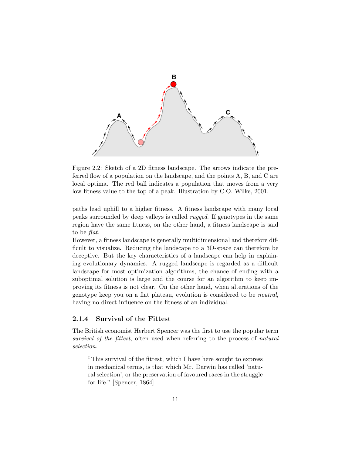

Figure 2.2: Sketch of a 2D fitness landscape. The arrows indicate the preferred flow of a population on the landscape, and the points A, B, and C are local optima. The red ball indicates a population that moves from a very low fitness value to the top of a peak. Illustration by C.O. Wilke, 2001.

paths lead uphill to a higher fitness. A fitness landscape with many local peaks surrounded by deep valleys is called rugged. If genotypes in the same region have the same fitness, on the other hand, a fitness landscape is said to be flat.

However, a fitness landscape is generally multidimensional and therefore difficult to visualize. Reducing the landscape to a 3D-space can therefore be deceptive. But the key characteristics of a landscape can help in explaining evolutionary dynamics. A rugged landscape is regarded as a difficult landscape for most optimization algorithms, the chance of ending with a suboptimal solution is large and the course for an algorithm to keep improving its fitness is not clear. On the other hand, when alterations of the genotype keep you on a flat plateau, evolution is considered to be neutral, having no direct influence on the fitness of an individual.

#### 2.1.4 Survival of the Fittest

The British economist Herbert Spencer was the first to use the popular term survival of the fittest, often used when referring to the process of natural selection.

"This survival of the fittest, which I have here sought to express in mechanical terms, is that which Mr. Darwin has called 'natural selection', or the preservation of favoured races in the struggle for life." [Spencer, 1864]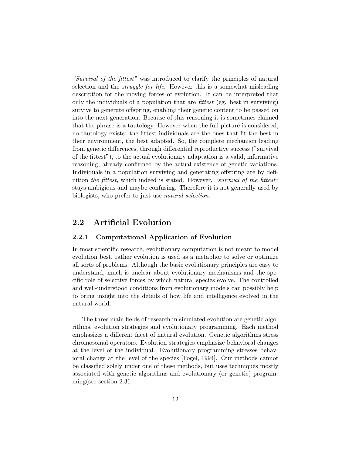"Survival of the fittest" was introduced to clarify the principles of natural selection and the struggle for life. However this is a somewhat misleading description for the moving forces of evolution. It can be interpreted that only the individuals of a population that are fittest (eg. best in surviving) survive to generate offspring, enabling their genetic content to be passed on into the next generation. Because of this reasoning it is sometimes claimed that the phrase is a tautology. However when the full picture is considered, no tautology exists: the fittest individuals are the ones that fit the best in their environment, the best adapted. So, the complete mechanism leading from genetic differences, through differential reproductive success ("survival of the fittest"), to the actual evolutionary adaptation is a valid, informative reasoning, already confirmed by the actual existence of genetic variations. Individuals in a population surviving and generating offspring are by definition the fittest, which indeed is stated. However, "survival of the fittest" stays ambigious and maybe confusing. Therefore it is not generally used by biologists, who prefer to just use natural selection.

## 2.2 Artificial Evolution

#### 2.2.1 Computational Application of Evolution

In most scientific research, evolutionary computation is not meant to model evolution best, rather evolution is used as a metaphor to solve or optimize all sorts of problems. Although the basic evolutionary principles are easy to understand, much is unclear about evolutionary mechanisms and the specific role of selective forces by which natural species evolve. The controlled and well-understood conditions from evolutionary models can possibly help to bring insight into the details of how life and intelligence evolved in the natural world.

The three main fields of research in simulated evolution are genetic algorithms, evolution strategies and evolutionary programming. Each method emphasizes a different facet of natural evolution. Genetic algorithms stress chromosomal operators. Evolution strategies emphasize behavioral changes at the level of the individual. Evolutionary programming stresses behavioral change at the level of the species [Fogel, 1994]. Our methods cannot be classified solely under one of these methods, but uses techniques mostly associated with genetic algorithms and evolutionary (or genetic) programming(see section 2.3).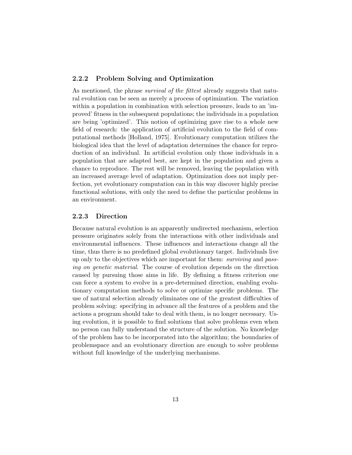#### 2.2.2 Problem Solving and Optimization

As mentioned, the phrase *survival of the fittest* already suggests that natural evolution can be seen as merely a process of optimization. The variation within a population in combination with selection pressure, leads to an 'improved' fitness in the subsequent populations; the individuals in a population are being 'optimized'. This notion of optimizing gave rise to a whole new field of research: the application of artificial evolution to the field of computational methods [Holland, 1975]. Evolutionary computation utilizes the biological idea that the level of adaptation determines the chance for reproduction of an individual. In artificial evolution only those individuals in a population that are adapted best, are kept in the population and given a chance to reproduce. The rest will be removed, leaving the population with an increased average level of adaptation. Optimization does not imply perfection, yet evolutionary computation can in this way discover highly precise functional solutions, with only the need to define the particular problems in an environment.

#### 2.2.3 Direction

Because natural evolution is an apparently undirected mechanism, selection pressure originates solely from the interactions with other individuals and environmental influences. These influences and interactions change all the time, thus there is no predefined global evolutionary target. Individuals live up only to the objectives which are important for them: *surviving* and passing on genetic material. The course of evolution depends on the direction caused by pursuing those aims in life. By defining a fitness criterion one can force a system to evolve in a pre-determined direction, enabling evolutionary computation methods to solve or optimize specific problems. The use of natural selection already eliminates one of the greatest difficulties of problem solving: specifying in advance all the features of a problem and the actions a program should take to deal with them, is no longer necessary. Using evolution, it is possible to find solutions that solve problems even when no person can fully understand the structure of the solution. No knowledge of the problem has to be incorporated into the algorithm; the boundaries of problemspace and an evolutionary direction are enough to solve problems without full knowledge of the underlying mechanisms.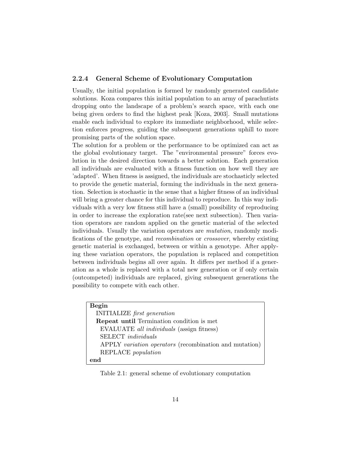#### 2.2.4 General Scheme of Evolutionary Computation

Usually, the initial population is formed by randomly generated candidate solutions. Koza compares this initial population to an army of parachutists dropping onto the landscape of a problem's search space, with each one being given orders to find the highest peak [Koza, 2003]. Small mutations enable each individual to explore its immediate neighborhood, while selection enforces progress, guiding the subsequent generations uphill to more promising parts of the solution space.

The solution for a problem or the performance to be optimized can act as the global evolutionary target. The "environmental pressure" forces evolution in the desired direction towards a better solution. Each generation all individuals are evaluated with a fitness function on how well they are 'adapted'. When fitness is assigned, the individuals are stochasticly selected to provide the genetic material, forming the individuals in the next generation. Selection is stochastic in the sense that a higher fitness of an individual will bring a greater chance for this individual to reproduce. In this way individuals with a very low fitness still have a (small) possibility of reproducing in order to increase the exploration rate(see next subsection). Then variation operators are random applied on the genetic material of the selected individuals. Usually the variation operators are mutation, randomly modifications of the genotype, and recombination or crossover, whereby existing genetic material is exchanged, between or within a genotype. After applying these variation operators, the population is replaced and competition between individuals begins all over again. It differs per method if a generation as a whole is replaced with a total new generation or if only certain (outcompeted) individuals are replaced, giving subsequent generations the possibility to compete with each other.

| Begin                                                  |  |  |  |  |
|--------------------------------------------------------|--|--|--|--|
| <b>INITIALIZE</b> first generation                     |  |  |  |  |
| <b>Repeat until</b> Termination condition is met       |  |  |  |  |
| EVALUATE all individuals (assign fitness)              |  |  |  |  |
| <b>SELECT</b> <i>individuals</i>                       |  |  |  |  |
| APPLY variation operators (recombination and mutation) |  |  |  |  |
| REPLACE population                                     |  |  |  |  |
| end                                                    |  |  |  |  |

Table 2.1: general scheme of evolutionary computation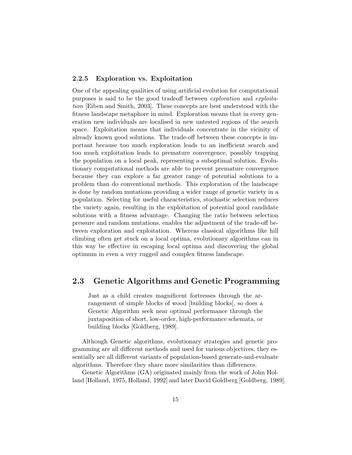#### 2.2.5 Exploration vs. Exploitation

One of the appealing qualities of using artificial evolution for computational purposes is said to be the good tradeoff between exploration and exploitation [Eiben and Smith, 2003]. These concepts are best understood with the fitness landscape metaphore in mind. Exploration means that in every generation new individuals are localised in new untested regions of the search space. Exploitation means that individuals concentrate in the vicinity of already known good solutions. The trade-off between these concepts is important because too much exploration leads to an inefficient search and too much exploitation leads to premature convergence, possibly trapping the population on a local peak, representing a suboptimal solution. Evolutionary computational methods are able to prevent premature convergence because they can explore a far greater range of potential solutions to a problem than do conventional methods. This exploration of the landscape is done by random mutations providing a wider range of genetic variety in a population. Selecting for useful characteristics, stochastic selection reduces the variety again, resulting in the exploitation of potential good candidate solutions with a fitness advantage. Changing the ratio between selection pressure and random mutations, enables the adjustment of the trade-off between exploration and exploitation. Whereas classical algorithms like hill climbing often get stuck on a local optima, evolutionary algorithms can in this way be effective in escaping local optima and discovering the global optimum in even a very rugged and complex fitness landscape.

## 2.3 Genetic Algorithms and Genetic Programming

Just as a child creates magnificent fortresses through the arrangement of simple blocks of wood [building blocks], so does a Genetic Algorithm seek near optimal performance through the juxtaposition of short, low-order, high-performance schemata, or building blocks [Goldberg, 1989].

Although Genetic algorithms, evolutionary strategies and genetic programming are all different methods and used for various objectives, they essentially are all different variants of population-based generate-and-evaluate algorithms. Therefore they share more similarities than differences.

Genetic Algorithms (GA) originated mainly from the work of John Holland [Holland, 1975, Holland, 1992] and later David Goldberg [Goldberg, 1989].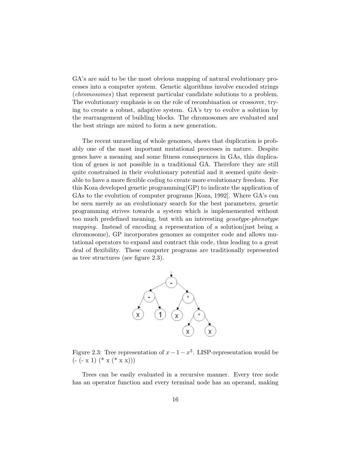GA's are said to be the most obvious mapping of natural evolutionary processes into a computer system. Genetic algorithms involve encoded strings (chromosomes) that represent particular candidate solutions to a problem. The evolutionary emphasis is on the role of recombination or crossover, trying to create a robust, adaptive system. GA's try to evolve a solution by the rearrangement of building blocks. The chromosomes are evaluated and the best strings are mixed to form a new generation.

The recent unraveling of whole genomes, shows that duplication is probably one of the most important mutational processes in nature. Despite genes have a meaning and some fitness consequences in GAs, this duplication of genes is not possible in a traditional GA. Therefore they are still quite constrained in their evolutionary potential and it seemed quite desirable to have a more flexible coding to create more evolutionary freedom. For this Koza developed genetic programming(GP) to indicate the application of GAs to the evolution of computer programs [Koza, 1992]. Where GA's can be seen merely as an evolutionary search for the best parameters, genetic programming strives towards a system which is implememented without too much predefined meaning, but with an interesting genotype-phenotype mapping. Instead of encoding a representation of a solution(just being a chromosome), GP incorporates genomes as computer code and allows mutational operators to expand and contract this code, thus leading to a great deal of flexibility. These computer programs are traditionally represented as tree structures (see figure 2.3).



Figure 2.3: Tree representation of  $x - 1 - x^3$ . LISP-representation would be  $(- (-x 1) (* x (* x x)))$ 

Trees can be easily evaluated in a recursive manner. Every tree node has an operator function and every terminal node has an operand, making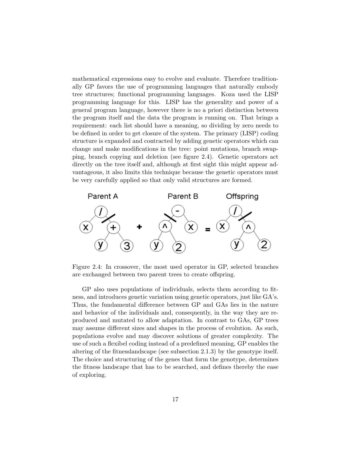mathematical expressions easy to evolve and evaluate. Therefore traditionally GP favors the use of programming languages that naturally embody tree structures; functional programming languages. Koza used the LISP programming language for this. LISP has the generality and power of a general program language, however there is no a priori distinction between the program itself and the data the program is running on. That brings a requirement: each list should have a meaning, so dividing by zero needs to be defined in order to get closure of the system. The primary (LISP) coding structure is expanded and contracted by adding genetic operators which can change and make modifications in the tree: point mutations, branch swapping, branch copying and deletion (see figure 2.4). Genetic operators act directly on the tree itself and, although at first sight this might appear advantageous, it also limits this technique because the genetic operators must be very carefully applied so that only valid structures are formed.



Figure 2.4: In crossover, the most used operator in GP, selected branches are exchanged between two parent trees to create offspring.

GP also uses populations of individuals, selects them according to fitness, and introduces genetic variation using genetic operators, just like GA's. Thus, the fundamental difference between GP and GAs lies in the nature and behavior of the individuals and, consequently, in the way they are reproduced and mutated to allow adaptation. In contrast to GAs, GP trees may assume different sizes and shapes in the process of evolution. As such, populations evolve and may discover solutions of greater complexity. The use of such a flexibel coding instead of a predefined meaning, GP enables the altering of the fitnesslandscape (see subsection 2.1.3) by the genotype itself. The choice and structuring of the genes that form the genotype, determines the fitness landscape that has to be searched, and defines thereby the ease of exploring.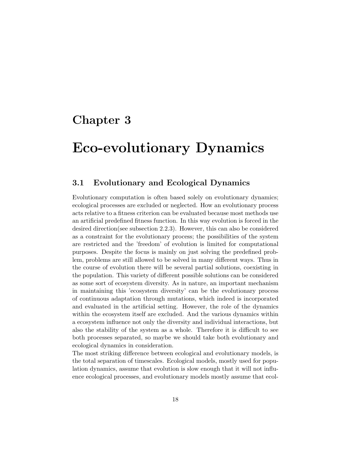## Chapter 3

# Eco-evolutionary Dynamics

## 3.1 Evolutionary and Ecological Dynamics

Evolutionary computation is often based solely on evolutionary dynamics; ecological processes are excluded or neglected. How an evolutionary process acts relative to a fitness criterion can be evaluated because most methods use an artificial predefined fitness function. In this way evolution is forced in the desired direction(see subsection 2.2.3). However, this can also be considered as a constraint for the evolutionary process; the possibilities of the system are restricted and the 'freedom' of evolution is limited for computational purposes. Despite the focus is mainly on just solving the predefined problem, problems are still allowed to be solved in many different ways. Thus in the course of evolution there will be several partial solutions, coexisting in the population. This variety of different possible solutions can be considered as some sort of ecosystem diversity. As in nature, an important mechanism in maintaining this 'ecosystem diversity' can be the evolutionary process of continuous adaptation through mutations, which indeed is incorporated and evaluated in the artificial setting. However, the role of the dynamics within the ecosystem itself are excluded. And the various dynamics within a ecosystem influence not only the diversity and individual interactions, but also the stability of the system as a whole. Therefore it is difficult to see both processes separated, so maybe we should take both evolutionary and ecological dynamics in consideration.

The most striking difference between ecological and evolutionary models, is the total separation of timescales. Ecological models, mostly used for population dynamics, assume that evolution is slow enough that it will not influence ecological processes, and evolutionary models mostly assume that ecol-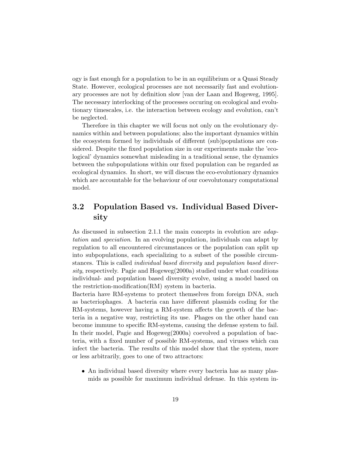ogy is fast enough for a population to be in an equilibrium or a Quasi Steady State. However, ecological processes are not necessarily fast and evolutionary processes are not by definition slow [van der Laan and Hogeweg, 1995]. The necessary interlocking of the processes occuring on ecological and evolutionary timescales, i.e. the interaction between ecology and evolution, can't be neglected.

Therefore in this chapter we will focus not only on the evolutionary dynamics within and between populations; also the important dynamics within the ecosystem formed by individuals of different (sub)populations are considered. Despite the fixed population size in our experiments make the 'ecological' dynamics somewhat misleading in a traditional sense, the dynamics between the subpopulations within our fixed population can be regarded as ecological dynamics. In short, we will discuss the eco-evolutionary dynamics which are accountable for the behaviour of our coevolutonary computational model.

## 3.2 Population Based vs. Individual Based Diversity

As discussed in subsection 2.1.1 the main concepts in evolution are *adap*tation and speciation. In an evolving population, individuals can adapt by regulation to all encountered circumstances or the population can split up into subpopulations, each specializing to a subset of the possible circumstances. This is called individual based diversity and population based diversity, respectively. Pagie and Hogeweg(2000a) studied under what conditions individual- and population based diversity evolve, using a model based on the restriction-modification(RM) system in bacteria.

Bacteria have RM-systems to protect themselves from foreign DNA, such as bacteriophages. A bacteria can have different plasmids coding for the RM-systems, however having a RM-system affects the growth of the bacteria in a negative way, restricting its use. Phages on the other hand can become immune to specific RM-systems, causing the defense system to fail. In their model, Pagie and Hogeweg(2000a) coevolved a population of bacteria, with a fixed number of possible RM-systems, and viruses which can infect the bacteria. The results of this model show that the system, more or less arbitrarily, goes to one of two attractors:

• An individual based diversity where every bacteria has as many plasmids as possible for maximum individual defense. In this system in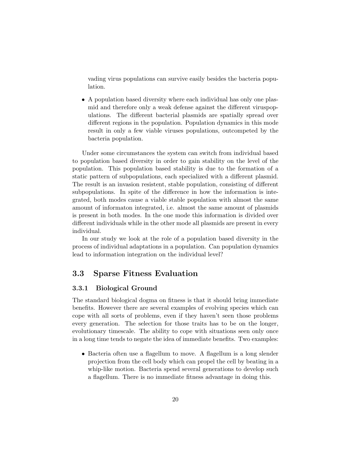vading virus populations can survive easily besides the bacteria population.

• A population based diversity where each individual has only one plasmid and therefore only a weak defense against the different viruspopulations. The different bacterial plasmids are spatially spread over different regions in the population. Population dynamics in this mode result in only a few viable viruses populations, outcompeted by the bacteria population.

Under some circumstances the system can switch from individual based to population based diversity in order to gain stability on the level of the population. This population based stability is due to the formation of a static pattern of subpopulations, each specialized with a different plasmid. The result is an invasion resistent, stable population, consisting of different subpopulations. In spite of the difference in how the information is integrated, both modes cause a viable stable population with almost the same amount of informaton integrated, i.e. almost the same amount of plasmids is present in both modes. In the one mode this information is divided over different individuals while in the other mode all plasmids are present in every individual.

In our study we look at the role of a population based diversity in the process of individual adaptations in a population. Can population dynamics lead to information integration on the individual level?

## 3.3 Sparse Fitness Evaluation

#### 3.3.1 Biological Ground

The standard biological dogma on fitness is that it should bring immediate benefits. However there are several examples of evolving species which can cope with all sorts of problems, even if they haven't seen those problems every generation. The selection for those traits has to be on the longer, evolutionary timescale. The ability to cope with situations seen only once in a long time tends to negate the idea of immediate benefits. Two examples:

• Bacteria often use a flagellum to move. A flagellum is a long slender projection from the cell body which can propel the cell by beating in a whip-like motion. Bacteria spend several generations to develop such a flagellum. There is no immediate fitness advantage in doing this.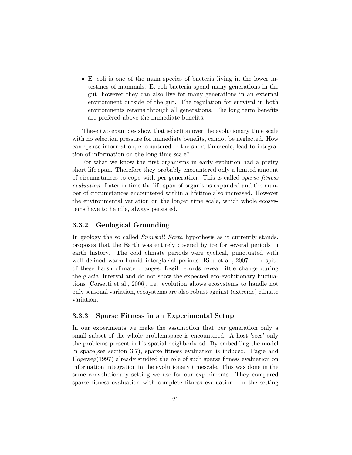• E. coli is one of the main species of bacteria living in the lower intestines of mammals. E. coli bacteria spend many generations in the gut, however they can also live for many generations in an external environment outside of the gut. The regulation for survival in both environments retains through all generations. The long term benefits are prefered above the immediate benefits.

These two examples show that selection over the evolutionary time scale with no selection pressure for immediate benefits, cannot be neglected. How can sparse information, encountered in the short timescale, lead to integration of information on the long time scale?

For what we know the first organisms in early evolution had a pretty short life span. Therefore they probably encountered only a limited amount of circumstances to cope with per generation. This is called sparse fitness evaluation. Later in time the life span of organisms expanded and the number of circumstances encountered within a lifetime also increased. However the environmental variation on the longer time scale, which whole ecosystems have to handle, always persisted.

#### 3.3.2 Geological Grounding

In geology the so called *Snowball Earth* hypothesis as it currently stands, proposes that the Earth was entirely covered by ice for several periods in earth history. The cold climate periods were cyclical, punctuated with well defined warm-humid interglacial periods [Rieu et al., 2007]. In spite of these harsh climate changes, fossil records reveal little change during the glacial interval and do not show the expected eco-evolutionary fluctuations [Corsetti et al., 2006], i.e. evolution allows ecosystems to handle not only seasonal variation, ecosystems are also robust against (extreme) climate variation.

#### 3.3.3 Sparse Fitness in an Experimental Setup

In our experiments we make the assumption that per generation only a small subset of the whole problemspace is encountered. A host 'sees' only the problems present in his spatial neighborhood. By embedding the model in space(see section 3.7), sparse fitness evaluation is induced. Pagie and Hogeweg(1997) already studied the role of such sparse fitness evaluation on information integration in the evolutionary timescale. This was done in the same coevolutionary setting we use for our experiments. They compared sparse fitness evaluation with complete fitness evaluation. In the setting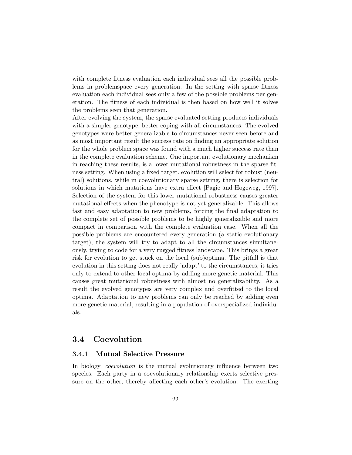with complete fitness evaluation each individual sees all the possible problems in problemspace every generation. In the setting with sparse fitness evaluation each individual sees only a few of the possible problems per generation. The fitness of each individual is then based on how well it solves the problems seen that generation.

After evolving the system, the sparse evaluated setting produces individuals with a simpler genotype, better coping with all circumstances. The evolved genotypes were better generalizable to circumstances never seen before and as most important result the success rate on finding an appropriate solution for the whole problem space was found with a much higher success rate than in the complete evaluation scheme. One important evolutionary mechanism in reaching these results, is a lower mutational robustness in the sparse fitness setting. When using a fixed target, evolution will select for robust (neutral) solutions, while in coevolutionary sparse setting, there is selection for solutions in which mutations have extra effect [Pagie and Hogeweg, 1997]. Selection of the system for this lower mutational robustness causes greater mutational effects when the phenotype is not yet generalizable. This allows fast and easy adaptation to new problems, forcing the final adaptation to the complete set of possible problems to be highly generalizable and more compact in comparison with the complete evaluation case. When all the possible problems are encountered every generation (a static evolutionary target), the system will try to adapt to all the circumstances simultaneously, trying to code for a very rugged fitness landscape. This brings a great risk for evolution to get stuck on the local (sub)optima. The pitfall is that evolution in this setting does not really 'adapt' to the circumstances, it tries only to extend to other local optima by adding more genetic material. This causes great mutational robustness with almost no generalizability. As a result the evolved genotypes are very complex and overfitted to the local optima. Adaptation to new problems can only be reached by adding even more genetic material, resulting in a population of overspecialized individuals.

## 3.4 Coevolution

#### 3.4.1 Mutual Selective Pressure

In biology, coevolution is the mutual evolutionary influence between two species. Each party in a coevolutionary relationship exerts selective pressure on the other, thereby affecting each other's evolution. The exerting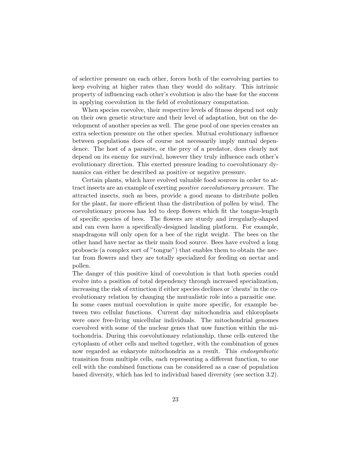of selective pressure on each other, forces both of the coevolving parties to keep evolving at higher rates than they would do solitary. This intrinsic property of influencing each other's evolution is also the base for the success in applying coevolution in the field of evolutionary computation.

When species coevolve, their respective levels of fitness depend not only on their own genetic structure and their level of adaptation, but on the development of another species as well. The gene pool of one species creates an extra selection pressure on the other species. Mutual evolutionary influence between populations does of course not necessarily imply mutual dependence. The host of a parasite, or the prey of a predator, does clearly not depend on its enemy for survival, however they truly influence each other's evolutionary direction. This exerted pressure leading to coevolutionary dynamics can either be described as positive or negative pressure.

Certain plants, which have evolved valuable food sources in order to attract insects are an example of exerting positive coevolutionary pressure. The attracted insects, such as bees, provide a good means to distribute pollen for the plant, far more efficient than the distribution of pollen by wind. The coevolutionary process has led to deep flowers which fit the tongue-length of specific species of bees. The flowers are sturdy and irregularly-shaped and can even have a specifically-designed landing platform. For example, snapdragons will only open for a bee of the right weight. The bees on the other hand have nectar as their main food source. Bees have evolved a long proboscis (a complex sort of "tongue") that enables them to obtain the nectar from flowers and they are totally specialized for feeding on nectar and pollen.

The danger of this positive kind of coevolution is that both species could evolve into a position of total dependency through increased specialization, increasing the risk of extinction if either species declines or 'cheats' in the coevolutionary relation by changing the mutualistic role into a parasitic one. In some cases mutual coevolution is quite more specific, for example between two cellular functions. Current day mitochondria and chloroplasts were once free-living unicellular individuals. The mitochondrial genomes coevolved with some of the nuclear genes that now function within the mitochondria. During this coevolutionary relationship, these cells entered the cytoplasm of other cells and melted together, with the combination of genes now regarded as eukaryote mitochondria as a result. This *endosymbiotic* transition from multiple cells, each representing a different function, to one cell with the combined functions can be considered as a case of population based diversity, which has led to individual based diversity (see section 3.2).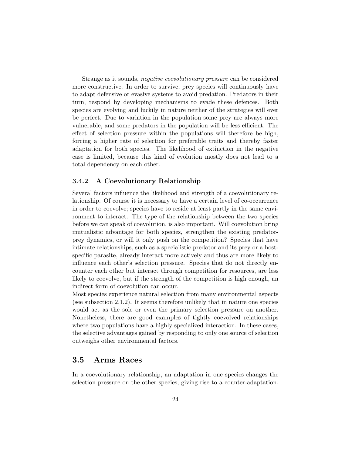Strange as it sounds, negative coevolutionary pressure can be considered more constructive. In order to survive, prey species will continuously have to adapt defensive or evasive systems to avoid predation. Predators in their turn, respond by developing mechanisms to evade these defences. Both species are evolving and luckily in nature neither of the strategies will ever be perfect. Due to variation in the population some prey are always more vulnerable, and some predators in the population will be less efficient. The effect of selection pressure within the populations will therefore be high, forcing a higher rate of selection for preferable traits and thereby faster adaptation for both species. The likelihood of extinction in the negative case is limited, because this kind of evolution mostly does not lead to a total dependency on each other.

#### 3.4.2 A Coevolutionary Relationship

Several factors influence the likelihood and strength of a coevolutionary relationship. Of course it is necessary to have a certain level of co-occurrence in order to coevolve; species have to reside at least partly in the same environment to interact. The type of the relationship between the two species before we can speak of coevolution, is also important. Will coevolution bring mutualistic advantage for both species, strengthen the existing predatorprey dynamics, or will it only push on the competition? Species that have intimate relationships, such as a specialistic predator and its prey or a hostspecific parasite, already interact more actively and thus are more likely to influence each other's selection pressure. Species that do not directly encounter each other but interact through competition for resources, are less likely to coevolve, but if the strength of the competition is high enough, an indirect form of coevolution can occur.

Most species experience natural selection from many environmental aspects (see subsection 2.1.2). It seems therefore unlikely that in nature one species would act as the sole or even the primary selection pressure on another. Nonetheless, there are good examples of tightly coevolved relationships where two populations have a highly specialized interaction. In these cases, the selective advantages gained by responding to only one source of selection outweighs other environmental factors.

## 3.5 Arms Races

In a coevolutionary relationship, an adaptation in one species changes the selection pressure on the other species, giving rise to a counter-adaptation.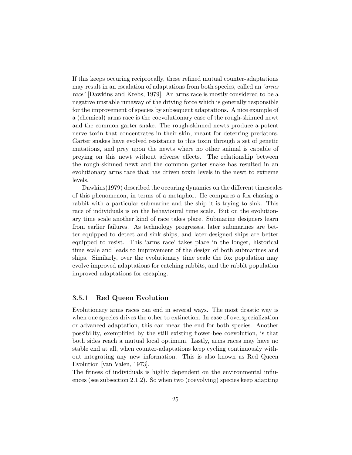If this keeps occuring reciprocally, these refined mutual counter-adaptations may result in an escalation of adaptations from both species, called an 'arms race' [Dawkins and Krebs, 1979]. An arms race is mostly considered to be a negative unstable runaway of the driving force which is generally responsible for the improvement of species by subsequent adaptations. A nice example of a (chemical) arms race is the coevolutionary case of the rough-skinned newt and the common garter snake. The rough-skinned newts produce a potent nerve toxin that concentrates in their skin, meant for deterring predators. Garter snakes have evolved resistance to this toxin through a set of genetic mutations, and prey upon the newts where no other animal is capable of preying on this newt without adverse effects. The relationship between the rough-skinned newt and the common garter snake has resulted in an evolutionary arms race that has driven toxin levels in the newt to extreme levels.

Dawkins(1979) described the occuring dynamics on the different timescales of this phenomenon, in terms of a metaphor. He compares a fox chasing a rabbit with a particular submarine and the ship it is trying to sink. This race of individuals is on the behavioural time scale. But on the evolutionary time scale another kind of race takes place. Submarine designers learn from earlier failures. As technology progresses, later submarines are better equipped to detect and sink ships, and later-designed ships are better equipped to resist. This 'arms race' takes place in the longer, historical time scale and leads to improvement of the design of both submarines and ships. Similarly, over the evolutionary time scale the fox population may evolve improved adaptations for catching rabbits, and the rabbit population improved adaptations for escaping.

#### 3.5.1 Red Queen Evolution

Evolutionary arms races can end in several ways. The most drastic way is when one species drives the other to extinction. In case of overspecialization or advanced adaptation, this can mean the end for both species. Another possibility, exemplified by the still existing flower-bee coevolution, is that both sides reach a mutual local optimum. Lastly, arms races may have no stable end at all, when counter-adaptations keep cycling continuously without integrating any new information. This is also known as Red Queen Evolution [van Valen, 1973].

The fitness of individuals is highly dependent on the environmental influences (see subsection 2.1.2). So when two (coevolving) species keep adapting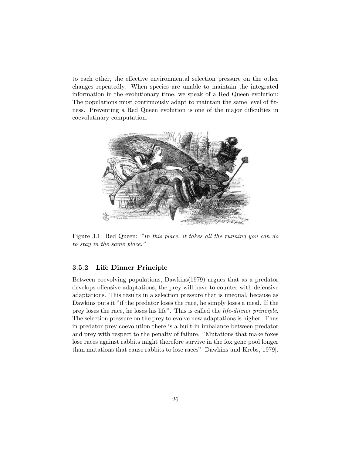to each other, the effective environmental selection pressure on the other changes repeatedly. When species are unable to maintain the integrated information in the evolutionary time, we speak of a Red Queen evolution: The populations must continuously adapt to maintain the same level of fitness. Preventing a Red Queen evolution is one of the major dificulties in coevolutinary computation.



Figure 3.1: Red Queen: "In this place, it takes all the running you can do to stay in the same place."

#### 3.5.2 Life Dinner Principle

Between coevolving populations, Dawkins(1979) argues that as a predator develops offensive adaptations, the prey will have to counter with defensive adaptations. This results in a selection pressure that is unequal, because as Dawkins puts it "if the predator loses the race, he simply loses a meal. If the prey loses the race, he loses his life". This is called the life-dinner principle. The selection pressure on the prey to evolve new adaptations is higher. Thus in predator-prey coevolution there is a built-in imbalance between predator and prey with respect to the penalty of failure. "Mutations that make foxes lose races against rabbits might therefore survive in the fox gene pool longer than mutations that cause rabbits to lose races" [Dawkins and Krebs, 1979].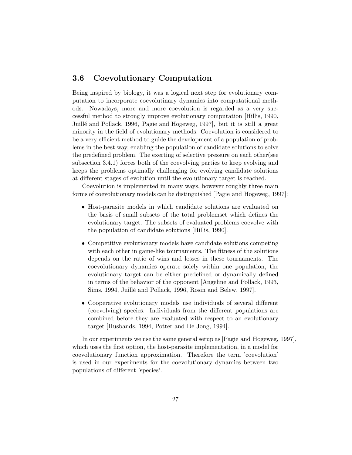## 3.6 Coevolutionary Computation

Being inspired by biology, it was a logical next step for evolutionary computation to incorporate coevolutinary dynamics into computational methods. Nowadays, more and more coevolution is regarded as a very successful method to strongly improve evolutionary computation [Hillis, 1990, Juill´e and Pollack, 1996, Pagie and Hogeweg, 1997], but it is still a great minority in the field of evolutionary methods. Coevolution is considered to be a very efficient method to guide the development of a population of problems in the best way, enabling the population of candidate solutions to solve the predefined problem. The exerting of selective pressure on each other(see subsection 3.4.1) forces both of the coevolving parties to keep evolving and keeps the problems optimally challenging for evolving candidate solutions at different stages of evolution until the evolutionary target is reached.

Coevolution is implemented in many ways, however roughly three main forms of coevolutionary models can be distinguished [Pagie and Hogeweg, 1997]:

- Host-parasite models in which candidate solutions are evaluated on the basis of small subsets of the total problemset which defines the evolutionary target. The subsets of evaluated problems coevolve with the population of candidate solutions [Hillis, 1990].
- Competitive evolutionary models have candidate solutions competing with each other in game-like tournaments. The fitness of the solutions depends on the ratio of wins and losses in these tournaments. The coevolutionary dynamics operate solely within one population, the evolutionary target can be either predefined or dynamically defined in terms of the behavior of the opponent [Angeline and Pollack, 1993, Sims, 1994, Juillé and Pollack, 1996, Rosin and Belew, 1997].
- Cooperative evolutionary models use individuals of several different (coevolving) species. Individuals from the different populations are combined before they are evaluated with respect to an evolutionary target [Husbands, 1994, Potter and De Jong, 1994].

In our experiments we use the same general setup as [Pagie and Hogeweg, 1997], which uses the first option, the host-parasite implementation, in a model for coevolutionary function approximation. Therefore the term 'coevolution' is used in our experiments for the coevolutionary dynamics between two populations of different 'species'.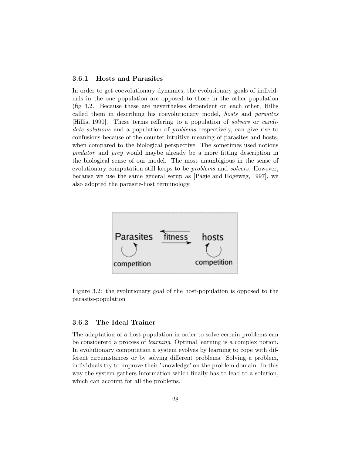#### 3.6.1 Hosts and Parasites

In order to get coevolutionary dynamics, the evolutionary goals of individuals in the one population are opposed to those in the other population (fig 3.2. Because these are nevertheless dependent on each other, Hillis called them in describing his coevolutionary model, hosts and parasites [Hillis, 1990]. These terms reffering to a population of solvers or candidate solutions and a population of *problems* respectively, can give rise to confusions because of the counter intuitive meaning of parasites and hosts, when compared to the biological perspective. The sometimes used notions predator and prey would maybe already be a more fitting description in the biological sense of our model. The most unambigious in the sense of evolutionary computation still keeps to be problems and solvers. However, because we use the same general setup as [Pagie and Hogeweg, 1997], we also adopted the parasite-host terminology.



Figure 3.2: the evolutionary goal of the host-population is opposed to the parasite-population

#### 3.6.2 The Ideal Trainer

The adaptation of a host population in order to solve certain problems can be considererd a process of learning. Optimal learning is a complex notion. In evolutionary computation a system evolves by learning to cope with different circumstances or by solving different problems. Solving a problem, individuals try to improve their 'knowledge' on the problem domain. In this way the system gathers information which finally has to lead to a solution, which can account for all the problems.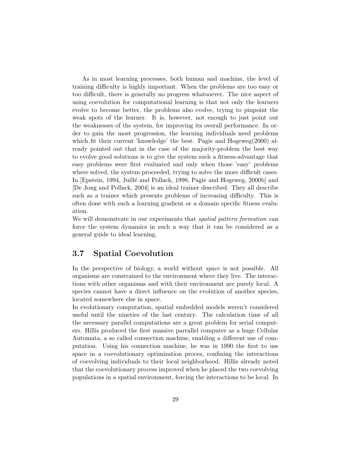As in most learning processes, both human and machine, the level of training difficulty is highly important. When the problems are too easy or too difficult, there is generally no progress whatsoever. The nice aspect of using coevolution for computational learning is that not only the learners evolve to become better, the problems also evolve, trying to pinpoint the weak spots of the learner. It is, however, not enough to just point out the weaknesses of the system, for improving its overall performance. In order to gain the most progression, the learning individuals need problems which fit their current 'knowledge' the best. Pagie and Hogeweg(2000) already pointed out that in the case of the majority-problem the best way to evolve good solutions is to give the system such a fitness-advantage that easy problems were first evaluated and only when those 'easy' problems where solved, the system proceeded, trying to solve the more difficult cases. In [Epstein, 1994, Juillé and Pollack, 1998, Pagie and Hogeweg, 2000b] and [De Jong and Pollack, 2004] is an ideal trainer described. They all describe such as a trainer which presents problems of increasing difficulty. This is often done with such a learning gradient or a domain specific fitness evaluation.

We will demonstrate in our experiments that *spatial pattern formation* can force the system dynamics in such a way that it can be considered as a general guide to ideal learning.

## 3.7 Spatial Coevolution

In the perspective of biology, a world without space is not possible. All organisms are constrained to the environment where they live. The interactions with other organisms and with their environment are purely local. A species cannot have a direct influence on the evolution of another species, located somewhere else in space.

In evolutionary computation, spatial embedded models weren't considered useful until the nineties of the last century. The calculation time of all the necessary parallel computations are a great problem for serial computers. Hillis produced the first massive parrallel computer as a huge Cellular Automata, a so called connection machine, enabling a different use of computation. Using his connection machine, he was in 1990 the first to use space in a coevolutionary optimization proces, confining the interactions of coevolving individuals to their local neighborhood. Hillis already noted that the coevolutionary process improved when he placed the two coevolving populations in a spatial environment, forcing the interactions to be local. In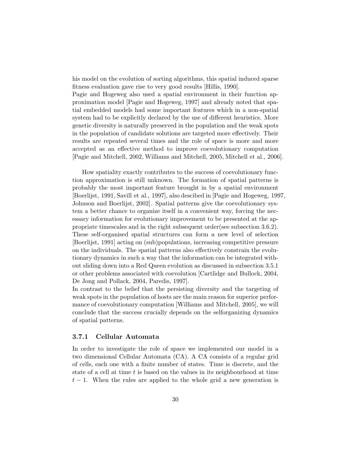his model on the evolution of sorting algorithms, this spatial induced sparse fitness evaluation gave rise to very good results [Hillis, 1990]. Pagie and Hogeweg also used a spatial environment in their function approximation model [Pagie and Hogeweg, 1997] and already noted that spatial embedded models had some important features which in a non-spatial system had to be explicitly declared by the use of different heuristics. More genetic diversity is naturally preserved in the population and the weak spots in the population of candidate solutions are targeted more effectively. Their results are repeated several times and the role of space is more and more accepted as an effective method to improve coevolutionary computation [Pagie and Mitchell, 2002, Williams and Mitchell, 2005, Mitchell et al., 2006].

How spatiality exactly contributes to the success of coevolutionary function approximation is still unknown. The formation of spatial patterns is probably the most important feature brought in by a spatial environment [Boerlijst, 1991, Savill et al., 1997], also descibed in [Pagie and Hogeweg, 1997, Johnson and Boerlijst, 2002]. Spatial patterns give the coevolutionary system a better chance to organize itself in a convenient way, forcing the necessary information for evolutionary improvement to be presented at the appropriate timescales and in the right subsequent order(see subsection 3.6.2). These self-organised spatial structures can form a new level of selection [Boerlijst, 1991] acting on (sub)populations, increasing competitive pressure on the individuals. The spatial patterns also effectively constrain the evolutionary dynamics in such a way that the information can be integrated without sliding down into a Red Queen evolution as discussed in subsection 3.5.1 or other problems associated with coevolution [Cartlidge and Bullock, 2004, De Jong and Pollack, 2004, Paredis, 1997].

In contrast to the belief that the persisting diversity and the targeting of weak spots in the population of hosts are the main reason for superior performance of coevolutionary computation [Williams and Mitchell, 2005], we will conclude that the success crucially depends on the selforganizing dynamics of spatial patterns.

#### 3.7.1 Cellular Automata

In order to investigate the role of space we implemented our model in a two dimensional Cellular Automata (CA). A CA consists of a regular grid of cells, each one with a finite number of states. Time is discrete, and the state of a cell at time  $t$  is based on the values in its neighbourhood at time  $t-1$ . When the rules are applied to the whole grid a new generation is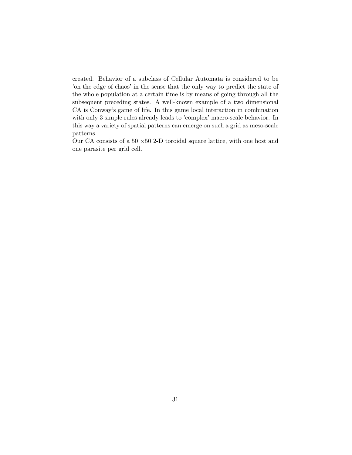created. Behavior of a subclass of Cellular Automata is considered to be 'on the edge of chaos' in the sense that the only way to predict the state of the whole population at a certain time is by means of going through all the subsequent preceding states. A well-known example of a two dimensional CA is Conway's game of life. In this game local interaction in combination with only 3 simple rules already leads to 'complex' macro-scale behavior. In this way a variety of spatial patterns can emerge on such a grid as meso-scale patterns.

Our CA consists of a  $50 \times 50$  2-D toroidal square lattice, with one host and one parasite per grid cell.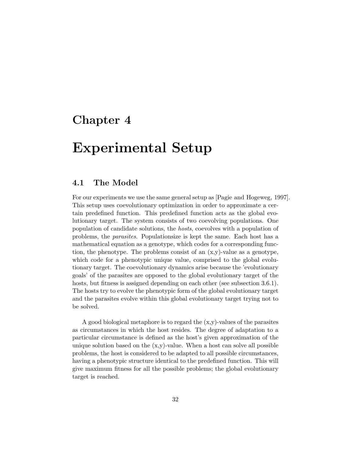## Chapter 4

# Experimental Setup

## 4.1 The Model

For our experiments we use the same general setup as [Pagie and Hogeweg, 1997]. This setup uses coevolutionary optimization in order to approximate a certain predefined function. This predefined function acts as the global evolutionary target. The system consists of two coevolving populations. One population of candidate solutions, the hosts, coevolves with a population of problems, the parasites. Populationsize is kept the same. Each host has a mathematical equation as a genotype, which codes for a corresponding function, the phenotype. The problems consist of an (x,y)-value as a genotype, which code for a phenotypic unique value, comprised to the global evolutionary target. The coevolutionary dynamics arise because the 'evolutionary goals' of the parasites are opposed to the global evolutionary target of the hosts, but fitness is assigned depending on each other (see subsection 3.6.1). The hosts try to evolve the phenotypic form of the global evolutionary target and the parasites evolve within this global evolutionary target trying not to be solved.

A good biological metaphore is to regard the  $(x, y)$ -values of the parasites as circumstances in which the host resides. The degree of adaptation to a particular circumstance is defined as the host's given approximation of the unique solution based on the  $(x,y)$ -value. When a host can solve all possible problems, the host is considered to be adapted to all possible circumstances, having a phenotypic structure identical to the predefined function. This will give maximum fitness for all the possible problems; the global evolutionary target is reached.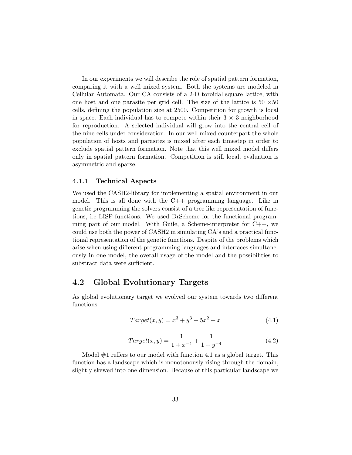In our experiments we will describe the role of spatial pattern formation, comparing it with a well mixed system. Both the systems are modeled in Cellular Automata. Our CA consists of a 2-D toroidal square lattice, with one host and one parasite per grid cell. The size of the lattice is  $50 \times 50$ cells, defining the population size at 2500. Competition for growth is local in space. Each individual has to compete within their  $3 \times 3$  neighborhood for reproduction. A selected individual will grow into the central cell of the nine cells under consideration. In our well mixed counterpart the whole population of hosts and parasites is mixed after each timestep in order to exclude spatial pattern formation. Note that this well mixed model differs only in spatial pattern formation. Competition is still local, evaluation is asymmetric and sparse.

#### 4.1.1 Technical Aspects

We used the CASH2-library for implementing a spatial environment in our model. This is all done with the  $C++$  programming language. Like in genetic programming the solvers consist of a tree like representation of functions, i.e LISP-functions. We used DrScheme for the functional programming part of our model. With Guile, a Scheme-interpreter for  $C_{++}$ , we could use both the power of CASH2 in simulating CA's and a practical functional representation of the genetic functions. Despite of the problems which arise when using different programming languages and interfaces simultaneously in one model, the overall usage of the model and the possibilities to substract data were sufficient.

## 4.2 Global Evolutionary Targets

As global evolutionary target we evolved our system towards two different functions:

$$
Target(x, y) = x^3 + y^3 + 5x^2 + x \tag{4.1}
$$

$$
Target(x, y) = \frac{1}{1 + x^{-4}} + \frac{1}{1 + y^{-4}}
$$
\n(4.2)

Model  $\#1$  reffers to our model with function 4.1 as a global target. This function has a landscape which is monotonously rising through the domain, slightly skewed into one dimension. Because of this particular landscape we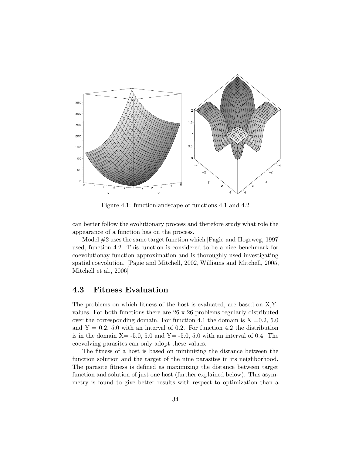

Figure 4.1: functionlandscape of functions 4.1 and 4.2

can better follow the evolutionary process and therefore study what role the appearance of a function has on the process.

Model #2 uses the same target function which [Pagie and Hogeweg, 1997] used, function 4.2. This function is considered to be a nice benchmark for coevolutionay function approximation and is thoroughly used investigating spatial coevolution. [Pagie and Mitchell, 2002, Williams and Mitchell, 2005, Mitchell et al., 2006]

#### 4.3 Fitness Evaluation

The problems on which fitness of the host is evaluated, are based on X,Yvalues. For both functions there are 26 x 26 problems regularly distributed over the corresponding domain. For function 4.1 the domain is  $X = 0.2, 5.0$ and  $Y = 0.2, 5.0$  with an interval of 0.2. For function 4.2 the distribution is in the domain  $X = -5.0$ , 5.0 and  $Y = -5.0$ , 5.0 with an interval of 0.4. The coevolving parasites can only adopt these values.

The fitness of a host is based on minimizing the distance between the function solution and the target of the nine parasites in its neighborhood. The parasite fitness is defined as maximizing the distance between target function and solution of just one host (further explained below). This asymmetry is found to give better results with respect to optimization than a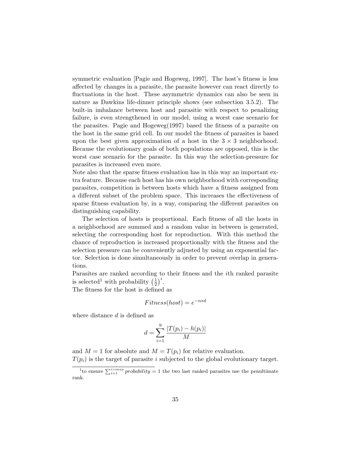symmetric evaluation [Pagie and Hogeweg, 1997]. The host's fitness is less affected by changes in a parasite, the parasite however can react directly to fluctuations in the host. These asymmetric dynamics can also be seen in nature as Dawkins life-dinner principle shows (see subsection 3.5.2). The built-in imbalance between host and parasitie with respect to penalizing failure, is even strengthened in our model, using a worst case scenario for the parasites. Pagie and Hogeweg(1997) based the fitness of a parasite on the host in the same grid cell. In our model the fitness of parasites is based upon the best given approximation of a host in the  $3 \times 3$  neighborhood. Because the evolutionary goals of both populations are opposed, this is the worst case scenario for the parasite. In this way the selection-pressure for parasites is increased even more.

Note also that the sparse fitness evaluation has in this way an important extra feature. Because each host has his own neighborhood with corresponding parasites, competition is between hosts which have a fitness assigned from a different subset of the problem space. This increases the effectiveness of sparse fitness evaluation by, in a way, comparing the different parasites on distinguishing capability.

The selection of hosts is proportional. Each fitness of all the hosts in a neighborhood are summed and a random value in between is generated, selecting the corresponding host for reproduction. With this method the chance of reproduction is increased proportionally with the fitness and the selection pressure can be conveniently adjusted by using an exponential factor. Selection is done simultaneously in order to prevent overlap in generations.

Parasites are ranked according to their fitness and the ith ranked parasite is selected<sup>1</sup> with probability  $(\frac{1}{2})$  $\frac{1}{2}$ )<sup>i</sup>.

The fitness for the host is defined as

$$
Fitness(host) = e^{-n*d}
$$

where distance  $d$  is defined as

$$
d = \sum_{i=1}^{9} \frac{|T(p_i) - h(p_i)|}{M}
$$

and  $M = 1$  for absolute and  $M = T(p_i)$  for relative evaluation.  $T(p_i)$  is the target of parasite i subjected to the global evolutionary target.

<sup>&</sup>lt;sup>1</sup>to ensure  $\sum_{i=1}^{i=max} probability = 1$  the two last ranked parasites use the penultimate rank.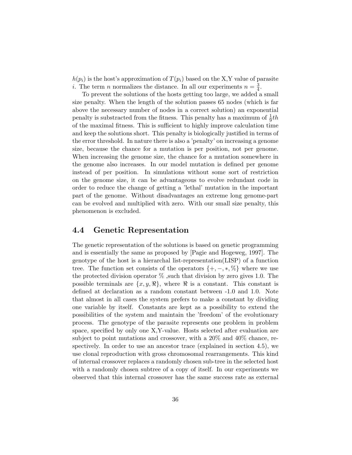$h(p_i)$  is the host's approximation of  $T(p_i)$  based on the X,Y value of parasite *i*. The term *n* normalizes the distance. In all our experiments  $n = \frac{3}{4}$  $\frac{3}{4}$ .

To prevent the solutions of the hosts getting too large, we added a small size penalty. When the length of the solution passes 65 nodes (which is far above the necessary number of nodes in a correct solution) an exponential penalty is substracted from the fitness. This penalty has a maximum of  $\frac{1}{9}$ th of the maximal fitness. This is sufficient to highly improve calculation time and keep the solutions short. This penalty is biologically justified in terms of the error threshold. In nature there is also a 'penalty' on increasing a genome size, because the chance for a mutation is per position, not per genome. When increasing the genome size, the chance for a mutation somewhere in the genome also increases. In our model mutation is defined per genome instead of per position. In simulations without some sort of restriction on the genome size, it can be advantageous to evolve redundant code in order to reduce the change of getting a 'lethal' mutation in the important part of the genome. Without disadvantages an extreme long genome-part can be evolved and multiplied with zero. With our small size penalty, this phenomenon is excluded.

### 4.4 Genetic Representation

The genetic representation of the solutions is based on genetic programming and is essentially the same as proposed by [Pagie and Hogeweg, 1997]. The genotype of the host is a hierarchal list-representation(LISP) of a function tree. The function set consists of the operators  $\{+,-,*,\% \}$  where we use the protected division operator  $\%$ , such that division by zero gives 1.0. The possible terminals are  $\{x, y, \Re\}$ , where  $\Re$  is a constant. This constant is defined at declaration as a random constant between -1.0 and 1.0. Note that almost in all cases the system prefers to make a constant by dividing one variable by itself. Constants are kept as a possibility to extend the possibilities of the system and maintain the 'freedom' of the evolutionary process. The genotype of the parasite represents one problem in problem space, specified by only one X,Y-value. Hosts selected after evaluation are subject to point mutations and crossover, with a 20% and 40% chance, respectively. In order to use an ancestor trace (explained in section 4.5), we use clonal reproduction with gross chromosomal rearrangements. This kind of internal crossover replaces a randomly chosen sub-tree in the selected host with a randomly chosen subtree of a copy of itself. In our experiments we observed that this internal crossover has the same success rate as external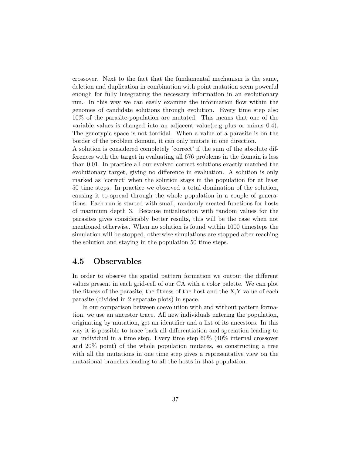crossover. Next to the fact that the fundamental mechanism is the same, deletion and duplication in combination with point mutation seem powerful enough for fully integrating the necessary information in an evolutionary run. In this way we can easily examine the information flow within the genomes of candidate solutions through evolution. Every time step also 10% of the parasite-population are mutated. This means that one of the variable values is changed into an adjacent value(.e.g plus or minus 0.4). The genotypic space is not toroidal. When a value of a parasite is on the border of the problem domain, it can only mutate in one direction.

A solution is considered completely 'correct' if the sum of the absolute differences with the target in evaluating all 676 problems in the domain is less than 0.01. In practice all our evolved correct solutions exactly matched the evolutionary target, giving no difference in evaluation. A solution is only marked as 'correct' when the solution stays in the population for at least 50 time steps. In practice we observed a total domination of the solution, causing it to spread through the whole population in a couple of generations. Each run is started with small, randomly created functions for hosts of maximum depth 3. Because initialization with random values for the parasites gives considerably better results, this will be the case when not mentioned otherwise. When no solution is found within 1000 timesteps the simulation will be stopped, otherwise simulations are stopped after reaching the solution and staying in the population 50 time steps.

### 4.5 Observables

In order to observe the spatial pattern formation we output the different values present in each grid-cell of our CA with a color palette. We can plot the fitness of the parasite, the fitness of the host and the X,Y value of each parasite (divided in 2 separate plots) in space.

In our comparison between coevolution with and without pattern formation, we use an ancestor trace. All new individuals entering the population, originating by mutation, get an identifier and a list of its ancestors. In this way it is possible to trace back all differentiation and speciation leading to an individual in a time step. Every time step 60% (40% internal crossover and 20% point) of the whole population mutates, so constructing a tree with all the mutations in one time step gives a representative view on the mutational branches leading to all the hosts in that population.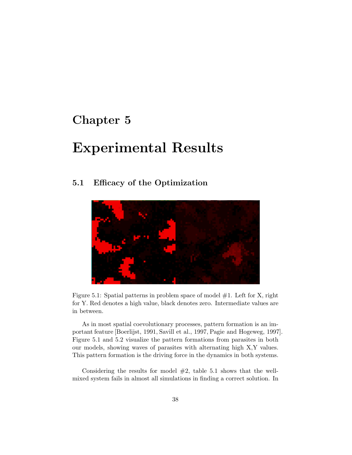## Chapter 5

# Experimental Results

## 5.1 Efficacy of the Optimization



Figure 5.1: Spatial patterns in problem space of model #1. Left for X, right for Y. Red denotes a high value, black denotes zero. Intermediate values are in between.

As in most spatial coevolutionary processes, pattern formation is an important feature [Boerlijst, 1991, Savill et al., 1997, Pagie and Hogeweg, 1997]. Figure 5.1 and 5.2 visualize the pattern formations from parasites in both our models, showing waves of parasites with alternating high X,Y values. This pattern formation is the driving force in the dynamics in both systems.

Considering the results for model  $#2$ , table 5.1 shows that the wellmixed system fails in almost all simulations in finding a correct solution. In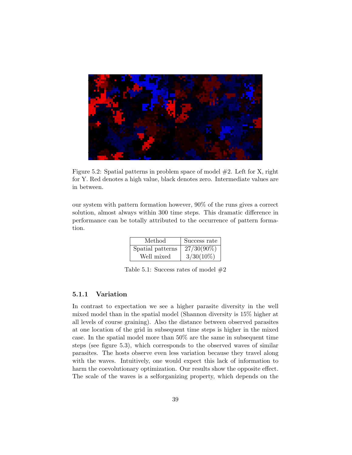

Figure 5.2: Spatial patterns in problem space of model  $#2$ . Left for X, right for Y. Red denotes a high value, black denotes zero. Intermediate values are in between.

our system with pattern formation however, 90% of the runs gives a correct solution, almost always within 300 time steps. This dramatic difference in performance can be totally attributed to the occurrence of pattern formation.

| Method           | Success rate  |
|------------------|---------------|
| Spatial patterns | $27/30(90\%)$ |
| Well mixed       | $3/30(10\%)$  |

Table 5.1: Success rates of model  $#2$ 

#### 5.1.1 Variation

In contrast to expectation we see a higher parasite diversity in the well mixed model than in the spatial model (Shannon diversity is 15% higher at all levels of course graining). Also the distance between observed parasites at one location of the grid in subsequent time steps is higher in the mixed case. In the spatial model more than 50% are the same in subsequent time steps (see figure 5.3), which corresponds to the observed waves of similar parasites. The hosts observe even less variation because they travel along with the waves. Intuitively, one would expect this lack of information to harm the coevolutionary optimization. Our results show the opposite effect. The scale of the waves is a selforganizing property, which depends on the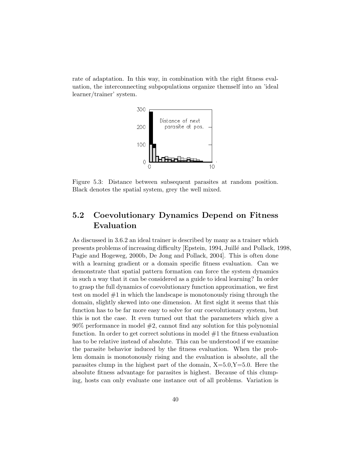rate of adaptation. In this way, in combination with the right fitness evaluation, the interconnecting subpopulations organize themself into an 'ideal learner/trainer' system.



Figure 5.3: Distance between subsequent parasites at random position. Black denotes the spatial system, grey the well mixed.

## 5.2 Coevolutionary Dynamics Depend on Fitness Evaluation

As discussed in 3.6.2 an ideal trainer is described by many as a trainer which presents problems of increasing difficulty [Epstein, 1994, Juill´e and Pollack, 1998, Pagie and Hogeweg, 2000b, De Jong and Pollack, 2004]. This is often done with a learning gradient or a domain specific fitness evaluation. Can we demonstrate that spatial pattern formation can force the system dynamics in such a way that it can be considered as a guide to ideal learning? In order to grasp the full dynamics of coevolutionary function approximation, we first test on model #1 in which the landscape is monotonously rising through the domain, slightly skewed into one dimension. At first sight it seems that this function has to be far more easy to solve for our coevolutionary system, but this is not the case. It even turned out that the parameters which give a  $90\%$  performance in model  $\#2$ , cannot find any solution for this polynomial function. In order to get correct solutions in model #1 the fitness evaluation has to be relative instead of absolute. This can be understood if we examine the parasite behavior induced by the fitness evaluation. When the problem domain is monotonously rising and the evaluation is absolute, all the parasites clump in the highest part of the domain,  $X=5.0$ ,  $Y=5.0$ . Here the absolute fitness advantage for parasites is highest. Because of this clumping, hosts can only evaluate one instance out of all problems. Variation is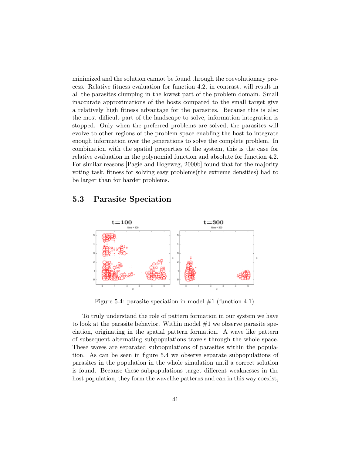minimized and the solution cannot be found through the coevolutionary process. Relative fitness evaluation for function 4.2, in contrast, will result in all the parasites clumping in the lowest part of the problem domain. Small inaccurate approximations of the hosts compared to the small target give a relatively high fitness advantage for the parasites. Because this is also the most difficult part of the landscape to solve, information integration is stopped. Only when the preferred problems are solved, the parasites will evolve to other regions of the problem space enabling the host to integrate enough information over the generations to solve the complete problem. In combination with the spatial properties of the system, this is the case for relative evaluation in the polynomial function and absolute for function 4.2. For similar reasons [Pagie and Hogeweg, 2000b] found that for the majority voting task, fitness for solving easy problems(the extreme densities) had to be larger than for harder problems.

## 5.3 Parasite Speciation



Figure 5.4: parasite speciation in model  $#1$  (function 4.1).

To truly understand the role of pattern formation in our system we have to look at the parasite behavior. Within model  $#1$  we observe parasite speciation, originating in the spatial pattern formation. A wave like pattern of subsequent alternating subpopulations travels through the whole space. These waves are separated subpopulations of parasites within the population. As can be seen in figure 5.4 we observe separate subpopulations of parasites in the population in the whole simulation until a correct solution is found. Because these subpopulations target different weaknesses in the host population, they form the wavelike patterns and can in this way coexist,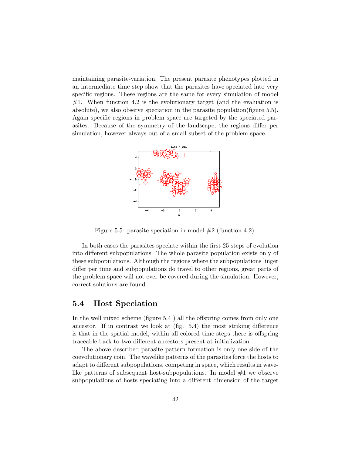maintaining parasite-variation. The present parasite phenotypes plotted in an intermediate time step show that the parasites have speciated into very specific regions. These regions are the same for every simulation of model  $#1.$  When function 4.2 is the evolutionary target (and the evaluation is absolute), we also observe speciation in the parasite population(figure 5.5). Again specific regions in problem space are targeted by the speciated parasites. Because of the symmetry of the landscape, the regions differ per simulation, however always out of a small subset of the problem space.



Figure 5.5: parasite speciation in model  $#2$  (function 4.2).

In both cases the parasites speciate within the first 25 steps of evolution into different subpopulations. The whole parasite population exists only of these subpopulations. Although the regions where the subpopulations linger differ per time and subpopulations do travel to other regions, great parts of the problem space will not ever be covered during the simulation. However, correct solutions are found.

### 5.4 Host Speciation

In the well mixed scheme (figure 5.4 ) all the offspring comes from only one ancestor. If in contrast we look at (fig. 5.4) the most striking difference is that in the spatial model, within all colored time steps there is offspring traceable back to two different ancestors present at initialization.

The above described parasite pattern formation is only one side of the coevolutionary coin. The wavelike patterns of the parasites force the hosts to adapt to different subpopulations, competing in space, which results in wavelike patterns of subsequent host-subpopulations. In model  $#1$  we observe subpopulations of hosts speciating into a different dimension of the target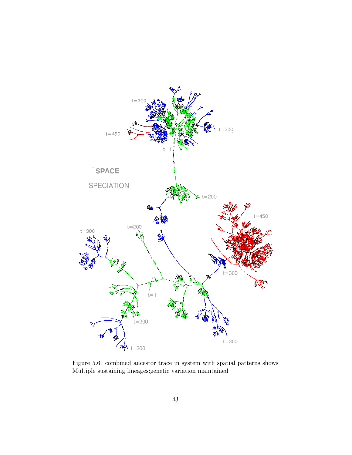

Figure 5.6: combined ancestor trace in system with spatial patterns shows Multiple sustaining lineages:genetic variation maintained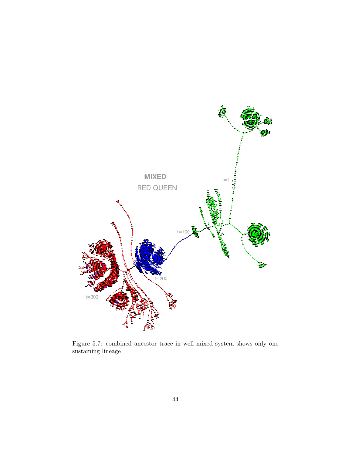

Figure 5.7: combined ancestor trace in well mixed system shows only one sustaining lineage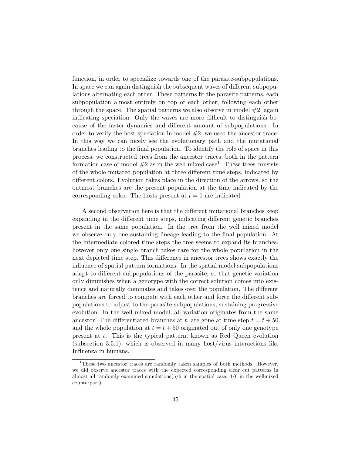function, in order to specialize towards one of the parasite-subpopulations. In space we can again distinguish the subsequent waves of different subpopulations alternating each other. These patterns fit the parasite patterns, each subpopulation almost entirely on top of each other, following each other through the space. The spatial patterns we also observe in model  $#2$ , again indicating speciation. Only the waves are more difficult to distinguish because of the faster dynamics and different amount of subpopulations. In order to verify the host-speciation in model  $#2$ , we used the ancestor trace. In this way we can nicely see the evolutionary path and the mutational branches leading to the final population. To identify the role of space in this process, we constructed trees from the ancestor traces, both in the pattern formation case of model  $#2$  as in the well mixed case<sup>1</sup>. These trees consists of the whole mutated population at three different time steps, indicated by different colors. Evolution takes place in the direction of the arrows, so the outmost branches are the present population at the time indicated by the corresponding color. The hosts present at  $t = 1$  are indicated.

A second observation here is that the different mutational branches keep expanding in the different time steps, indicating different genetic branches present in the same population. In the tree from the well mixed model we observe only one sustaining lineage leading to the final population. At the intermediate colored time steps the tree seems to expand its branches, however only one single branch takes care for the whole population in the next depicted time step. This difference in ancestor trees shows exactly the influence of spatial pattern formations. In the spatial model subpopulations adapt to different subpopulations of the parasite, so that genetic variation only diminishes when a genotype with the correct solution comes into existence and naturally dominates and takes over the population. The different branches are forced to compete with each other and force the different subpopulations to adjust to the parasite subpopulations, sustaining progressive evolution. In the well mixed model, all variation originates from the same ancestor. The differentiated branches at t, are gone at time step  $t = t + 50$ and the whole population at  $t = t + 50$  originated out of only one genotype present at  $t$ . This is the typical pattern, known as Red Queen evolution (subsection 3.5.1), which is observed in many host/virus interactions like Influenza in humans.

<sup>&</sup>lt;sup>1</sup>These two ancestor traces are randomly taken samples of both methods. However, we did observe ancestor traces with the expected corresponding clear cut patterns in almost all randomly examined simulations $(5/6$  in the spatial case,  $4/6$  in the wellmixed counterpart).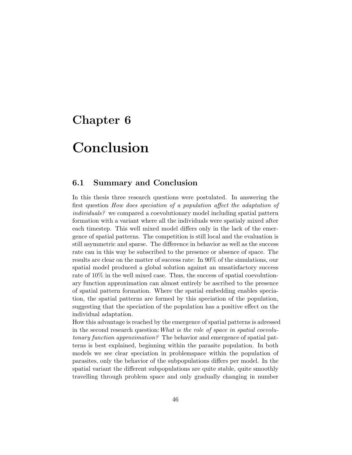## Chapter 6

# Conclusion

## 6.1 Summary and Conclusion

In this thesis three research questions were postulated. In answering the first question How does speciation of a population affect the adaptation of individuals? we compared a coevolutionary model including spatial pattern formation with a variant where all the individuals were spatialy mixed after each timestep. This well mixed model differs only in the lack of the emergence of spatial patterns. The competition is still local and the evaluation is still asymmetric and sparse. The difference in behavior as well as the success rate can in this way be subscribed to the presence or absence of space. The results are clear on the matter of success rate: In 90% of the simulations, our spatial model produced a global solution against an unsatisfactory success rate of 10% in the well mixed case. Thus, the success of spatial coevolutionary function approximation can almost entirely be ascribed to the presence of spatial pattern formation. Where the spatial embedding enables speciation, the spatial patterns are formed by this speciation of the population, suggesting that the speciation of the population has a positive effect on the individual adaptation.

How this advantage is reached by the emergence of spatial patterns is adressed in the second research question:What is the role of space in spatial coevolutonary function approximation? The behavior and emergence of spatial patterns is best explained, beginning within the parasite population. In both models we see clear speciation in problemspace within the population of parasites, only the behavior of the subpopulations differs per model. In the spatial variant the different subpopulations are quite stable, quite smoothly travelling through problem space and only gradually changing in number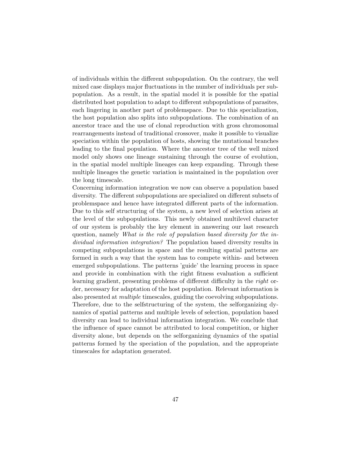of individuals within the different subpopulation. On the contrary, the well mixed case displays major fluctuations in the number of individuals per subpopulation. As a result, in the spatial model it is possible for the spatial distributed host population to adapt to different subpopulations of parasites, each lingering in another part of problemspace. Due to this specialization, the host population also splits into subpopulations. The combination of an ancestor trace and the use of clonal reproduction with gross chromosomal rearrangements instead of traditional crossover, make it possible to visualize speciation within the population of hosts, showing the mutational branches leading to the final population. Where the ancestor tree of the well mixed model only shows one lineage sustaining through the course of evolution, in the spatial model multiple lineages can keep expanding. Through these multiple lineages the genetic variation is maintained in the population over the long timescale.

Concerning information integration we now can observe a population based diversity. The different subpopulations are specialized on different subsets of problemspace and hence have integrated different parts of the information. Due to this self structuring of the system, a new level of selection arises at the level of the subpopulations. This newly obtained multilevel character of our system is probably the key element in answering our last research question, namely What is the role of population based diversity for the individual information integration? The population based diversity results in competing subpopulations in space and the resulting spatial patterns are formed in such a way that the system has to compete within- and between emerged subpopulations. The patterns 'guide' the learning process in space and provide in combination with the right fitness evaluation a sufficient learning gradient, presenting problems of different difficulty in the right order, necessary for adaptation of the host population. Relevant information is also presented at multiple timescales, guiding the coevolving subpopulations. Therefore, due to the selfstructuring of the system, the selforganizing dynamics of spatial patterns and multiple levels of selection, population based diversity can lead to individual information integration. We conclude that the influence of space cannot be attributed to local competition, or higher diversity alone, but depends on the selforganizing dynamics of the spatial patterns formed by the speciation of the population, and the appropriate timescales for adaptation generated.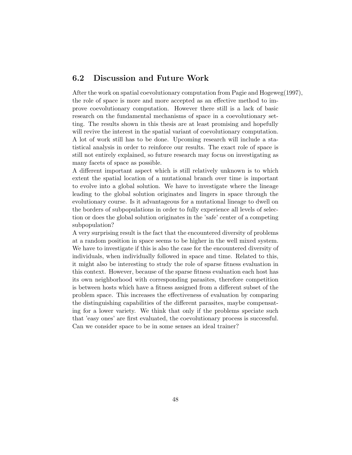## 6.2 Discussion and Future Work

After the work on spatial coevolutionary computation from Pagie and Hogeweg(1997), the role of space is more and more accepted as an effective method to improve coevolutionary computation. However there still is a lack of basic research on the fundamental mechanisms of space in a coevolutionary setting. The results shown in this thesis are at least promising and hopefully will revive the interest in the spatial variant of coevolutionary computation. A lot of work still has to be done. Upcoming research will include a statistical analysis in order to reinforce our results. The exact role of space is still not entirely explained, so future research may focus on investigating as many facets of space as possible.

A different important aspect which is still relatively unknown is to which extent the spatial location of a mutational branch over time is important to evolve into a global solution. We have to investigate where the lineage leading to the global solution originates and lingers in space through the evolutionary course. Is it advantageous for a mutational lineage to dwell on the borders of subpopulations in order to fully experience all levels of selection or does the global solution originates in the 'safe' center of a competing subpopulation?

A very surprising result is the fact that the encountered diversity of problems at a random position in space seems to be higher in the well mixed system. We have to investigate if this is also the case for the encountered diversity of individuals, when individually followed in space and time. Related to this, it might also be interesting to study the role of sparse fitness evaluation in this context. However, because of the sparse fitness evaluation each host has its own neighborhood with corresponding parasites, therefore competition is between hosts which have a fitness assigned from a different subset of the problem space. This increases the effectiveness of evaluation by comparing the distinguishing capabilities of the different parasites, maybe compensating for a lower variety. We think that only if the problems speciate such that 'easy ones' are first evaluated, the coevolutionary process is successful. Can we consider space to be in some senses an ideal trainer?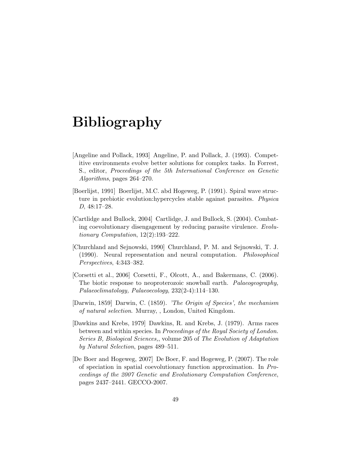# Bibliography

- [Angeline and Pollack, 1993] Angeline, P. and Pollack, J. (1993). Competitive environments evolve better solutions for complex tasks. In Forrest, S., editor, Proceedings of the 5th International Conference on Genetic Algorithms, pages 264–270.
- [Boerlijst, 1991] Boerlijst, M.C. abd Hogeweg, P. (1991). Spiral wave structure in prebiotic evolution:hypercycles stable against parasites. Physica D, 48:17–28.
- [Cartlidge and Bullock, 2004] Cartlidge, J. and Bullock, S. (2004). Combating coevolutionary disengagement by reducing parasite virulence. Evolutionary Computation, 12(2):193–222.
- [Churchland and Sejnowski, 1990] Churchland, P. M. and Sejnowski, T. J. (1990). Neural representation and neural computation. Philosophical Perspectives, 4:343–382.
- [Corsetti et al., 2006] Corsetti, F., Olcott, A., and Bakermans, C. (2006). The biotic response to neoproterozoic snowball earth. Palaeogeography, Palaeoclimatology, Palaeoecology, 232(2-4):114–130.
- [Darwin, 1859] Darwin, C. (1859). 'The Origin of Species', the mechanism of natural selection. Murray, , London, United Kingdom.
- [Dawkins and Krebs, 1979] Dawkins, R. and Krebs, J. (1979). Arms races between and within species. In Proceedings of the Royal Society of London. Series B, Biological Sciences,, volume 205 of The Evolution of Adaptation by Natural Selection, pages 489–511.
- [De Boer and Hogeweg, 2007] De Boer, F. and Hogeweg, P. (2007). The role of speciation in spatial coevolutionary function approximation. In Proceedings of the 2007 Genetic and Evolutionary Computation Conference, pages 2437–2441. GECCO-2007.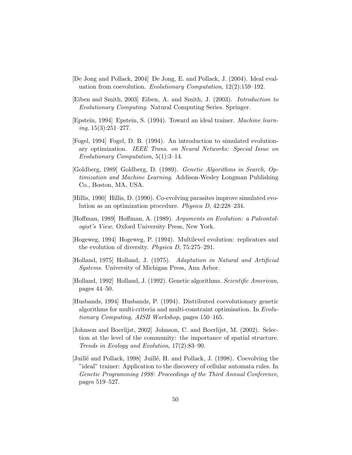- [De Jong and Pollack, 2004] De Jong, E. and Pollack, J. (2004). Ideal evaluation from coevolution. Evolutionary Computation, 12(2):159–192.
- [Eiben and Smith, 2003] Eiben, A. and Smith, J. (2003). Introduction to Evolutionary Computing. Natural Computing Series. Springer.
- [Epstein, 1994] Epstein, S. (1994). Toward an ideal trainer. Machine learn $ing, 15(3):251-277.$
- [Fogel, 1994] Fogel, D. B. (1994). An introduction to simulated evolutionary optimization. IEEE Trans. on Neural Networks: Special Issue on Evolutionary Computation, 5(1):3–14.
- [Goldberg, 1989] Goldberg, D. (1989). Genetic Algorithms in Search, Optimization and Machine Learning. Addison-Wesley Longman Publishing Co., Boston, MA, USA.
- [Hillis, 1990] Hillis, D. (1990). Co-evolving parasites improve simulated evolution as an optimization procedure. Physica D, 42:228–234.
- [Hoffman, 1989] Hoffman, A. (1989). Arguments on Evolution: a Paleontologist's View. Oxford University Press, New York.
- [Hogeweg, 1994] Hogeweg, P. (1994). Multilevel evolution: replicators and the evolution of diversity. Physica D, 75:275–291.
- [Holland, 1975] Holland, J. (1975). Adaptation in Natural and Artificial Systems. University of Michigan Press, Ann Arbor.
- [Holland, 1992] Holland, J. (1992). Genetic algorithms. Scientific American, pages 44–50.
- [Husbands, 1994] Husbands, P. (1994). Distributed coevolutionary genetic algorithms for multi-criteria and multi-constraint optimisation. In Evolutionary Computing, AISB Workshop, pages 150–165.
- [Johnson and Boerlijst, 2002] Johnson, C. and Boerlijst, M. (2002). Selection at the level of the community: the importance of spatial structure. Trends in Ecology and Evolution, 17(2):83–90.
- [Juill´e and Pollack, 1998] Juill´e, H. and Pollack, J. (1998). Coevolving the "ideal" trainer: Application to the discovery of cellular automata rules. In Genetic Programming 1998: Proceedings of the Third Annual Conference, pages 519–527.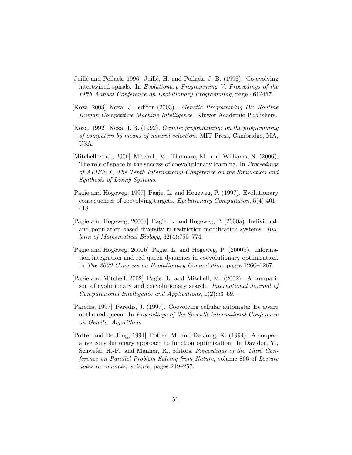- [Juillé and Pollack, 1996] Juillé, H. and Pollack, J. B. (1996). Co-evolving intertwined spirals. In Evolutionary Programming V: Proceedings of the Fifth Annual Conference on Evolutionary Programming, page 461?467.
- [Koza, 2003] Koza, J., editor (2003). Genetic Programming IV: Routine Human-Competitive Machine Intelligence. Kluwer Academic Publishers.
- [Koza, 1992] Koza, J. R. (1992). Genetic programming: on the programming of computers by means of natural selection. MIT Press, Cambridge, MA, USA.
- [Mitchell et al., 2006] Mitchell, M., Thomure, M., and Williams, N. (2006). The role of space in the success of coevolutionary learning. In Proceedings of ALIFE X, The Tenth International Conference on the Simulation and Synthesis of Living Systems.
- [Pagie and Hogeweg, 1997] Pagie, L. and Hogeweg, P. (1997). Evolutionary consequences of coevolving targets. Evolutionary Computation, 5(4):401– 418.
- [Pagie and Hogeweg, 2000a] Pagie, L. and Hogeweg, P. (2000a). Individualand population-based diversity in restriction-modification systems. Bulletin of Mathematical Biology, 62(4):759–774.
- [Pagie and Hogeweg, 2000b] Pagie, L. and Hogeweg, P. (2000b). Information integration and red queen dynamics in coevolutionary optimization. In The 2000 Congress on Evolutionary Computation, pages 1260–1267.
- [Pagie and Mitchell, 2002] Pagie, L. and Mitchell, M. (2002). A comparison of evolutionary and coevolutionary search. International Journal of Computational Intelligence and Applications, 1(2):53–69.
- [Paredis, 1997] Paredis, J. (1997). Coevolving cellular automata: Be aware of the red queen! In Proceedings of the Seventh International Conference on Genetic Algorithms.
- [Potter and De Jong, 1994] Potter, M. and De Jong, K. (1994). A cooperative coevolutionary approach to function optimization. In Davidor, Y., Schwefel, H.-P., and Manner, R., editors, Proceedings of the Third Conference on Parallel Problem Solving from Nature, volume 866 of Lecture notes in computer science, pages 249–257.